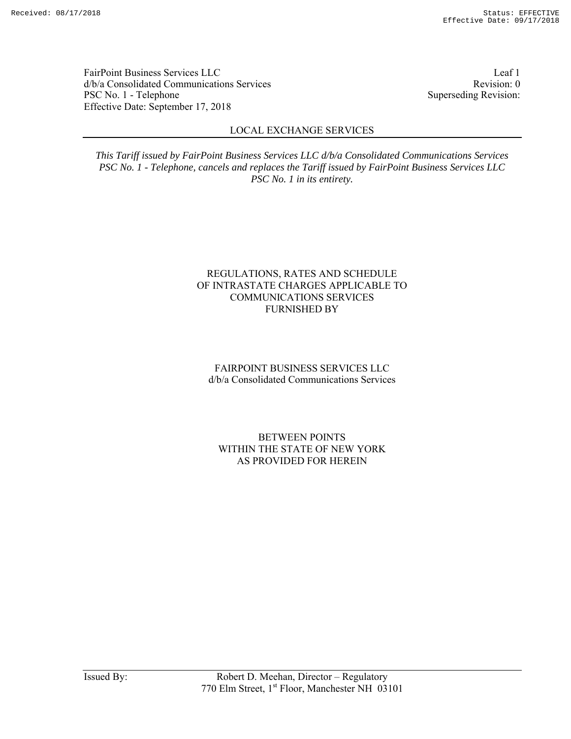FairPoint Business Services LLC Leaf 1 d/b/a Consolidated Communications Services and the consolidated Communications Services PSC No. 1 - Telephone Superseding Revision: Effective Date: September 17, 2018

# LOCAL EXCHANGE SERVICES

*This Tariff issued by FairPoint Business Services LLC d/b/a Consolidated Communications Services PSC No. 1 - Telephone, cancels and replaces the Tariff issued by FairPoint Business Services LLC PSC No. 1 in its entirety.* 

## REGULATIONS, RATES AND SCHEDULE OF INTRASTATE CHARGES APPLICABLE TO COMMUNICATIONS SERVICES FURNISHED BY

# FAIRPOINT BUSINESS SERVICES LLC d/b/a Consolidated Communications Services

## BETWEEN POINTS WITHIN THE STATE OF NEW YORK AS PROVIDED FOR HEREIN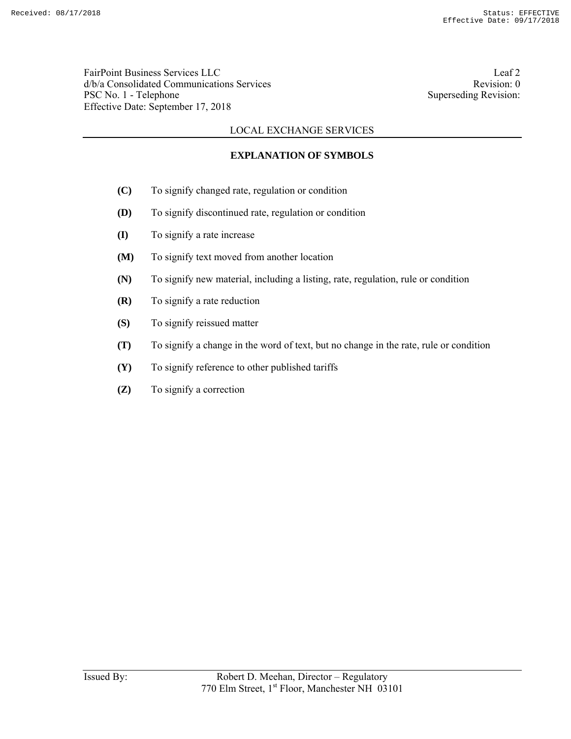FairPoint Business Services LLC Leaf 2 d/b/a Consolidated Communications Services and the consolidated Communications Services PSC No. 1 - Telephone Superseding Revision: Effective Date: September 17, 2018

# LOCAL EXCHANGE SERVICES

# **EXPLANATION OF SYMBOLS**

- **(C)** To signify changed rate, regulation or condition
- **(D)** To signify discontinued rate, regulation or condition
- **(I)** To signify a rate increase
- **(M)** To signify text moved from another location
- **(N)** To signify new material, including a listing, rate, regulation, rule or condition
- **(R)** To signify a rate reduction
- **(S)** To signify reissued matter
- **(T)** To signify a change in the word of text, but no change in the rate, rule or condition
- **(Y)** To signify reference to other published tariffs
- **(Z)** To signify a correction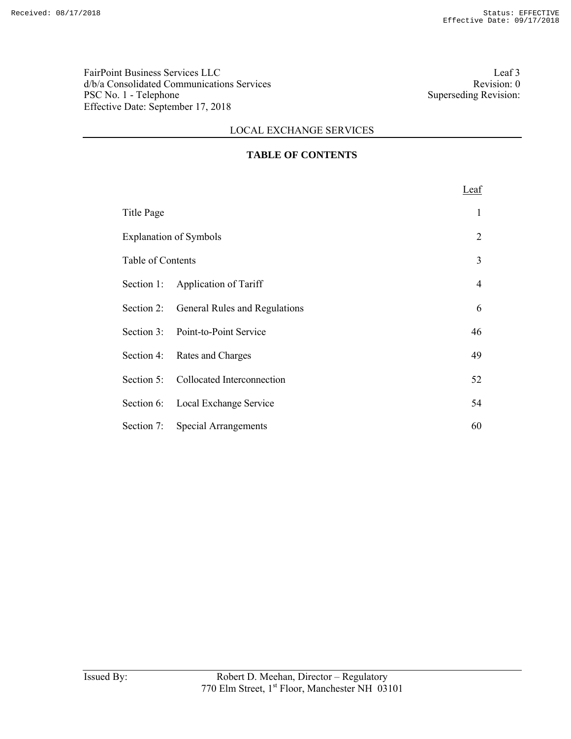FairPoint Business Services LLC<br>  $d/b/a$  Consolidated Communications Services<br>
Revision: 0 d/b/a Consolidated Communications Services<br>
PSC No. 1 - Telephone Superseding Revision: 0<br>
Superseding Revision: PSC No. 1 - Telephone Effective Date: September 17, 2018

# LOCAL EXCHANGE SERVICES

# **TABLE OF CONTENTS**

|                   |                                          | Leaf |
|-------------------|------------------------------------------|------|
| Title Page        |                                          | 1    |
|                   | <b>Explanation of Symbols</b>            | 2    |
| Table of Contents |                                          | 3    |
|                   | Section 1: Application of Tariff         | 4    |
|                   | Section 2: General Rules and Regulations | 6    |
|                   | Section 3: Point-to-Point Service        | 46   |
|                   | Section 4: Rates and Charges             | 49   |
|                   | Section 5: Collocated Interconnection    | 52   |
|                   | Section 6: Local Exchange Service        | 54   |
|                   | Section 7: Special Arrangements          | 60   |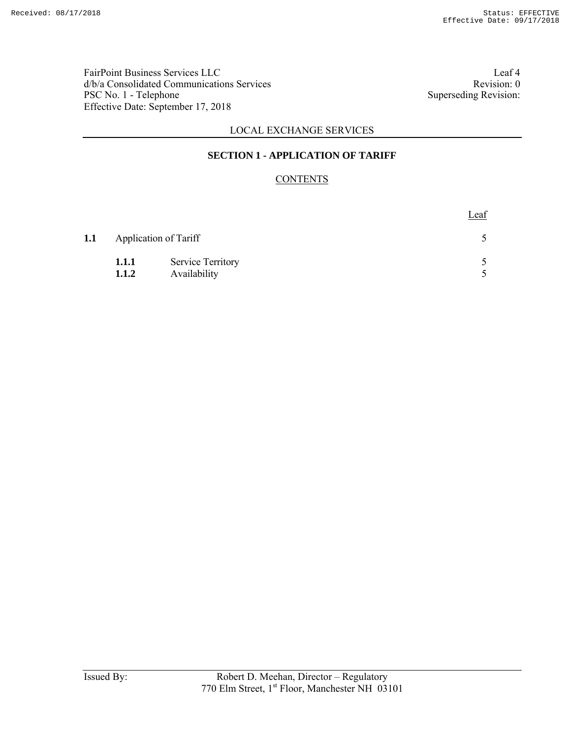FairPoint Business Services LLC<br>  $d/b/a$  Consolidated Communications Services<br>
Revision: 0 d/b/a Consolidated Communications Services<br>
PSC No. 1 - Telephone Superseding Revision: 0<br>
Superseding Revision: PSC No. 1 - Telephone Effective Date: September 17, 2018

# LOCAL EXCHANGE SERVICES

## **SECTION 1 - APPLICATION OF TARIFF**

# **CONTENTS**

|     |              |                          | Leaf |
|-----|--------------|--------------------------|------|
| 1.1 |              | Application of Tariff    |      |
|     | <b>1.1.1</b> | <b>Service Territory</b> |      |
|     | 1.1.2        | Availability             |      |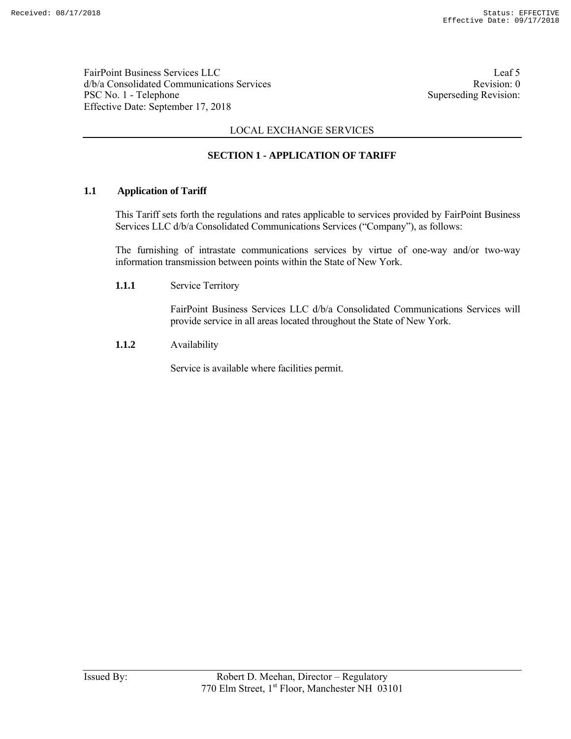FairPoint Business Services LLC Leaf 5 d/b/a Consolidated Communications Services and the consolidated Communications Services PSC No. 1 - Telephone Superseding Revision: Effective Date: September 17, 2018

# LOCAL EXCHANGE SERVICES

## **SECTION 1 - APPLICATION OF TARIFF**

### **1.1 Application of Tariff**

 This Tariff sets forth the regulations and rates applicable to services provided by FairPoint Business Services LLC d/b/a Consolidated Communications Services ("Company"), as follows:

 The furnishing of intrastate communications services by virtue of one-way and/or two-way information transmission between points within the State of New York.

**1.1.1** Service Territory

 FairPoint Business Services LLC d/b/a Consolidated Communications Services will provide service in all areas located throughout the State of New York.

**1.1.2** Availability

Service is available where facilities permit.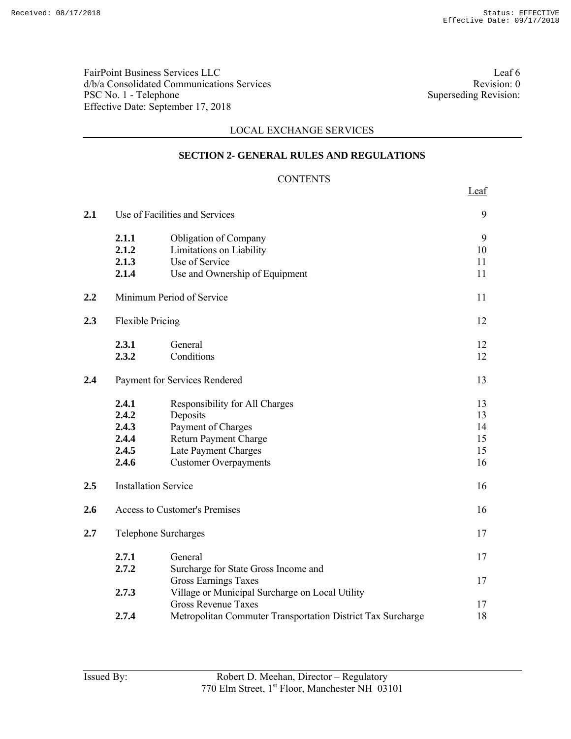FairPoint Business Services LLC<br>  $d/b/a$  Consolidated Communications Services<br>
Revision: 0 d/b/a Consolidated Communications Services PSC No. 1 - Telephone Superseding Revision: Effective Date: September 17, 2018

## LOCAL EXCHANGE SERVICES

### **SECTION 2- GENERAL RULES AND REGULATIONS**

### **CONTENTS**

<u>Leaf</u>

| 2.1 |                                                    | Use of Facilities and Services                                                                                                                    | 9                                |
|-----|----------------------------------------------------|---------------------------------------------------------------------------------------------------------------------------------------------------|----------------------------------|
|     | 2.1.1<br>2.1.2<br>2.1.3<br>2.1.4                   | <b>Obligation of Company</b><br>Limitations on Liability<br>Use of Service<br>Use and Ownership of Equipment                                      | 9<br>10<br>11<br>11              |
| 2.2 |                                                    | Minimum Period of Service                                                                                                                         | 11                               |
| 2.3 | <b>Flexible Pricing</b>                            |                                                                                                                                                   | 12                               |
|     | 2.3.1<br>2.3.2                                     | General<br>Conditions                                                                                                                             | 12<br>12                         |
| 2.4 |                                                    | Payment for Services Rendered                                                                                                                     | 13                               |
|     | 2.4.1<br>2.4.2<br>2.4.3<br>2.4.4<br>2.4.5<br>2.4.6 | Responsibility for All Charges<br>Deposits<br>Payment of Charges<br>Return Payment Charge<br>Late Payment Charges<br><b>Customer Overpayments</b> | 13<br>13<br>14<br>15<br>15<br>16 |
| 2.5 | <b>Installation Service</b>                        |                                                                                                                                                   | 16                               |
| 2.6 |                                                    | <b>Access to Customer's Premises</b>                                                                                                              | 16                               |
| 2.7 | Telephone Surcharges                               |                                                                                                                                                   | 17                               |
|     | 2.7.1<br>2.7.2                                     | General<br>Surcharge for State Gross Income and                                                                                                   | 17                               |
|     | 2.7.3                                              | <b>Gross Earnings Taxes</b><br>Village or Municipal Surcharge on Local Utility                                                                    | 17                               |
|     | 2.7.4                                              | <b>Gross Revenue Taxes</b><br>Metropolitan Commuter Transportation District Tax Surcharge                                                         | 17<br>18                         |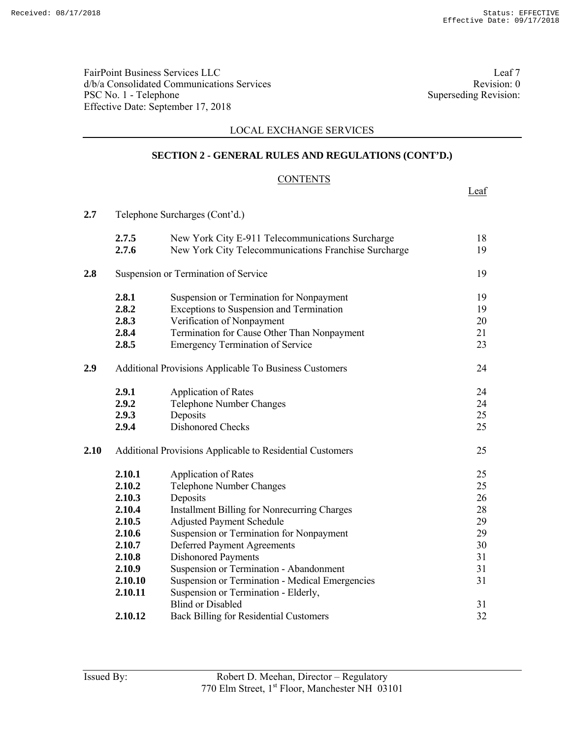FairPoint Business Services LLC<br>  $d/b/a$  Consolidated Communications Services<br>
Revision: 0 d/b/a Consolidated Communications Services<br>
PSC No. 1 - Telephone Superseding Revision: 0<br>
Superseding Revision: PSC No. 1 - Telephone Effective Date: September 17, 2018

Leaf

## LOCAL EXCHANGE SERVICES

## **SECTION 2 - GENERAL RULES AND REGULATIONS (CONT'D.)**

### **CONTENTS**

| 2.7  | Telephone Surcharges (Cont'd.) |                                                           |    |
|------|--------------------------------|-----------------------------------------------------------|----|
|      | 2.7.5                          | New York City E-911 Telecommunications Surcharge          | 18 |
|      | 2.7.6                          | New York City Telecommunications Franchise Surcharge      | 19 |
| 2.8  |                                | Suspension or Termination of Service                      | 19 |
|      | 2.8.1                          | Suspension or Termination for Nonpayment                  | 19 |
|      | 2.8.2                          | Exceptions to Suspension and Termination                  | 19 |
|      | 2.8.3                          | Verification of Nonpayment                                | 20 |
|      | 2.8.4                          | Termination for Cause Other Than Nonpayment               | 21 |
|      | 2.8.5                          | <b>Emergency Termination of Service</b>                   | 23 |
| 2.9  |                                | Additional Provisions Applicable To Business Customers    | 24 |
|      | 2.9.1                          | <b>Application of Rates</b>                               | 24 |
|      | 2.9.2                          | <b>Telephone Number Changes</b>                           | 24 |
|      | 2.9.3                          | Deposits                                                  | 25 |
|      | 2.9.4                          | <b>Dishonored Checks</b>                                  | 25 |
| 2.10 |                                | Additional Provisions Applicable to Residential Customers | 25 |
|      | 2.10.1                         | <b>Application of Rates</b>                               | 25 |
|      | 2.10.2                         | Telephone Number Changes                                  | 25 |
|      | 2.10.3                         | Deposits                                                  | 26 |
|      | 2.10.4                         | <b>Installment Billing for Nonrecurring Charges</b>       | 28 |
|      | 2.10.5                         | <b>Adjusted Payment Schedule</b>                          | 29 |
|      | 2.10.6                         | Suspension or Termination for Nonpayment                  | 29 |
|      | 2.10.7                         | <b>Deferred Payment Agreements</b>                        | 30 |
|      | 2.10.8                         | <b>Dishonored Payments</b>                                | 31 |
|      | 2.10.9                         | Suspension or Termination - Abandonment                   | 31 |
|      | 2.10.10                        | Suspension or Termination - Medical Emergencies           | 31 |
|      | 2.10.11                        | Suspension or Termination - Elderly,                      |    |
|      |                                | <b>Blind or Disabled</b>                                  | 31 |
|      | 2.10.12                        | <b>Back Billing for Residential Customers</b>             | 32 |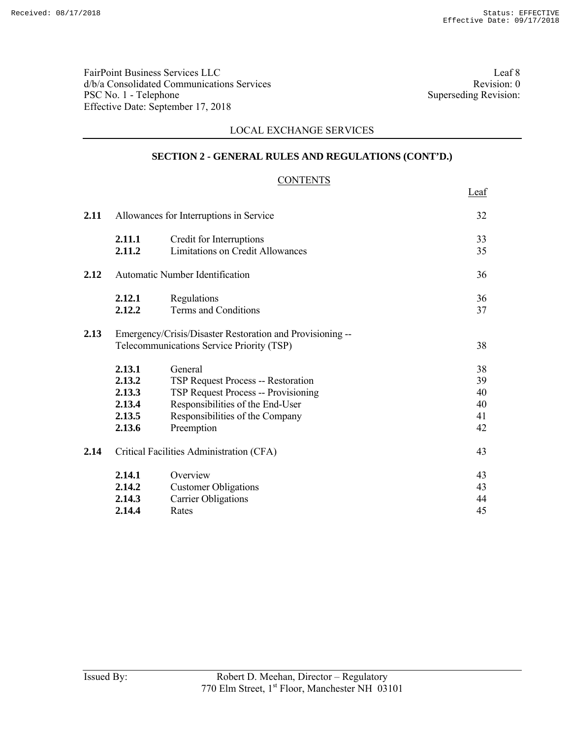FairPoint Business Services LLC<br>  $d/b/a$  Consolidated Communications Services<br>
Revision: 0 d/b/a Consolidated Communications Services<br>
PSC No. 1 - Telephone Superseding Revision: 0<br>
Superseding Revision: PSC No. 1 - Telephone Effective Date: September 17, 2018

Leaf

# LOCAL EXCHANGE SERVICES

# **SECTION 2 - GENERAL RULES AND REGULATIONS (CONT'D.)**

# **CONTENTS**

| 2.11 |                                                          | Allowances for Interruptions in Service                                                                                                                                                 | 32                               |
|------|----------------------------------------------------------|-----------------------------------------------------------------------------------------------------------------------------------------------------------------------------------------|----------------------------------|
|      | 2.11.1<br>2.11.2                                         | Credit for Interruptions<br><b>Limitations on Credit Allowances</b>                                                                                                                     | 33<br>35                         |
| 2.12 |                                                          | Automatic Number Identification                                                                                                                                                         | 36                               |
|      | 2.12.1<br>2.12.2                                         | Regulations<br><b>Terms and Conditions</b>                                                                                                                                              | 36<br>37                         |
| 2.13 |                                                          | Emergency/Crisis/Disaster Restoration and Provisioning --<br>Telecommunications Service Priority (TSP)                                                                                  | 38                               |
|      | 2.13.1<br>2.13.2<br>2.13.3<br>2.13.4<br>2.13.5<br>2.13.6 | General<br><b>TSP Request Process -- Restoration</b><br><b>TSP Request Process -- Provisioning</b><br>Responsibilities of the End-User<br>Responsibilities of the Company<br>Preemption | 38<br>39<br>40<br>40<br>41<br>42 |
| 2.14 |                                                          | Critical Facilities Administration (CFA)                                                                                                                                                | 43                               |
|      | 2.14.1<br>2.14.2<br>2.14.3<br>2.14.4                     | Overview<br><b>Customer Obligations</b><br><b>Carrier Obligations</b><br>Rates                                                                                                          | 43<br>43<br>44<br>45             |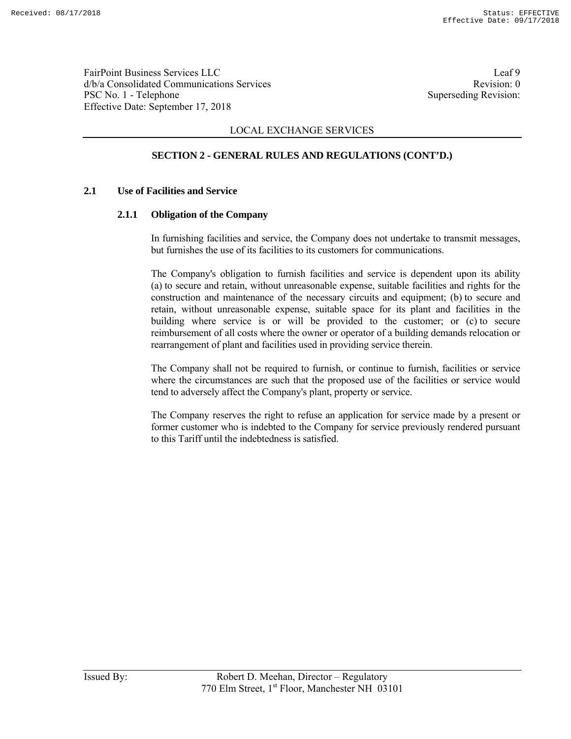FairPoint Business Services LLC Leaf 9 d/b/a Consolidated Communications Services and the vision of the Revision: 0 PSC No. 1 - Telephone Superseding Revision: Effective Date: September 17, 2018

## LOCAL EXCHANGE SERVICES

# **SECTION 2 - GENERAL RULES AND REGULATIONS (CONT'D.)**

### **2.1 Use of Facilities and Service**

### **2.1.1 Obligation of the Company**

 In furnishing facilities and service, the Company does not undertake to transmit messages, but furnishes the use of its facilities to its customers for communications.

 The Company's obligation to furnish facilities and service is dependent upon its ability (a) to secure and retain, without unreasonable expense, suitable facilities and rights for the construction and maintenance of the necessary circuits and equipment; (b) to secure and retain, without unreasonable expense, suitable space for its plant and facilities in the building where service is or will be provided to the customer; or (c) to secure reimbursement of all costs where the owner or operator of a building demands relocation or rearrangement of plant and facilities used in providing service therein.

 The Company shall not be required to furnish, or continue to furnish, facilities or service where the circumstances are such that the proposed use of the facilities or service would tend to adversely affect the Company's plant, property or service.

 The Company reserves the right to refuse an application for service made by a present or former customer who is indebted to the Company for service previously rendered pursuant to this Tariff until the indebtedness is satisfied.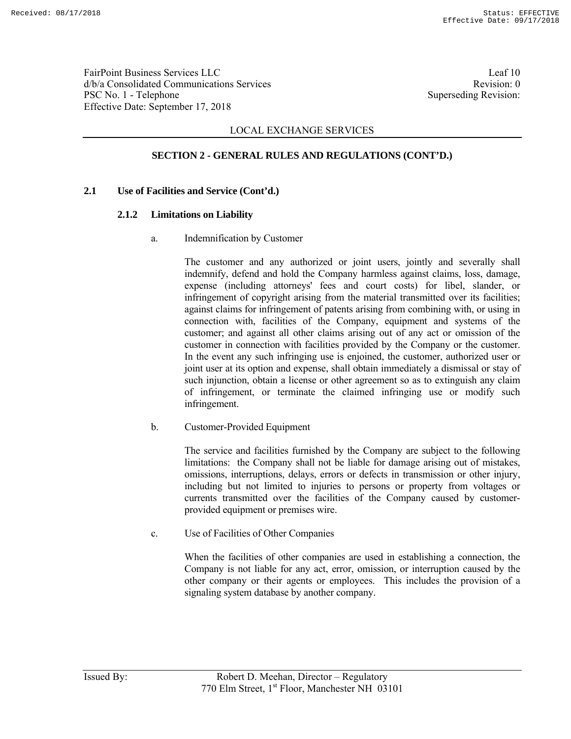FairPoint Business Services LLC Leaf 10 d/b/a Consolidated Communications Services and the service Revision: 0 PSC No. 1 - Telephone Superseding Revision: Effective Date: September 17, 2018

## LOCAL EXCHANGE SERVICES

# **SECTION 2 - GENERAL RULES AND REGULATIONS (CONT'D.)**

### **2.1 Use of Facilities and Service (Cont'd.)**

### **2.1.2 Limitations on Liability**

a. Indemnification by Customer

 The customer and any authorized or joint users, jointly and severally shall indemnify, defend and hold the Company harmless against claims, loss, damage, expense (including attorneys' fees and court costs) for libel, slander, or infringement of copyright arising from the material transmitted over its facilities; against claims for infringement of patents arising from combining with, or using in connection with, facilities of the Company, equipment and systems of the customer; and against all other claims arising out of any act or omission of the customer in connection with facilities provided by the Company or the customer. In the event any such infringing use is enjoined, the customer, authorized user or joint user at its option and expense, shall obtain immediately a dismissal or stay of such injunction, obtain a license or other agreement so as to extinguish any claim of infringement, or terminate the claimed infringing use or modify such infringement.

b. Customer-Provided Equipment

 The service and facilities furnished by the Company are subject to the following limitations: the Company shall not be liable for damage arising out of mistakes, omissions, interruptions, delays, errors or defects in transmission or other injury, including but not limited to injuries to persons or property from voltages or currents transmitted over the facilities of the Company caused by customerprovided equipment or premises wire.

c. Use of Facilities of Other Companies

 When the facilities of other companies are used in establishing a connection, the Company is not liable for any act, error, omission, or interruption caused by the other company or their agents or employees. This includes the provision of a signaling system database by another company.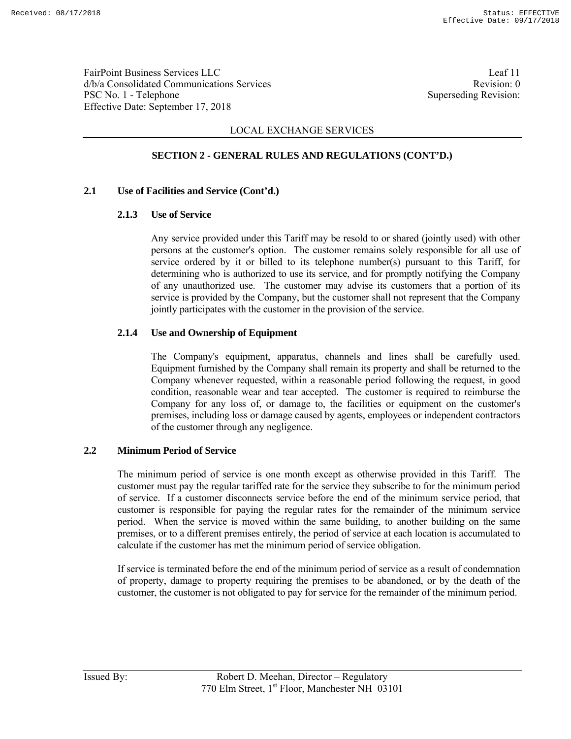FairPoint Business Services LLC Leaf 11 d/b/a Consolidated Communications Services and the services Revision: 0 PSC No. 1 - Telephone Superseding Revision: Effective Date: September 17, 2018

## LOCAL EXCHANGE SERVICES

# **SECTION 2 - GENERAL RULES AND REGULATIONS (CONT'D.)**

### **2.1 Use of Facilities and Service (Cont'd.)**

### **2.1.3 Use of Service**

 Any service provided under this Tariff may be resold to or shared (jointly used) with other persons at the customer's option. The customer remains solely responsible for all use of service ordered by it or billed to its telephone number(s) pursuant to this Tariff, for determining who is authorized to use its service, and for promptly notifying the Company of any unauthorized use. The customer may advise its customers that a portion of its service is provided by the Company, but the customer shall not represent that the Company jointly participates with the customer in the provision of the service.

### **2.1.4 Use and Ownership of Equipment**

 The Company's equipment, apparatus, channels and lines shall be carefully used. Equipment furnished by the Company shall remain its property and shall be returned to the Company whenever requested, within a reasonable period following the request, in good condition, reasonable wear and tear accepted. The customer is required to reimburse the Company for any loss of, or damage to, the facilities or equipment on the customer's premises, including loss or damage caused by agents, employees or independent contractors of the customer through any negligence.

#### **2.2 Minimum Period of Service**

 The minimum period of service is one month except as otherwise provided in this Tariff. The customer must pay the regular tariffed rate for the service they subscribe to for the minimum period of service. If a customer disconnects service before the end of the minimum service period, that customer is responsible for paying the regular rates for the remainder of the minimum service period. When the service is moved within the same building, to another building on the same premises, or to a different premises entirely, the period of service at each location is accumulated to calculate if the customer has met the minimum period of service obligation.

 If service is terminated before the end of the minimum period of service as a result of condemnation of property, damage to property requiring the premises to be abandoned, or by the death of the customer, the customer is not obligated to pay for service for the remainder of the minimum period.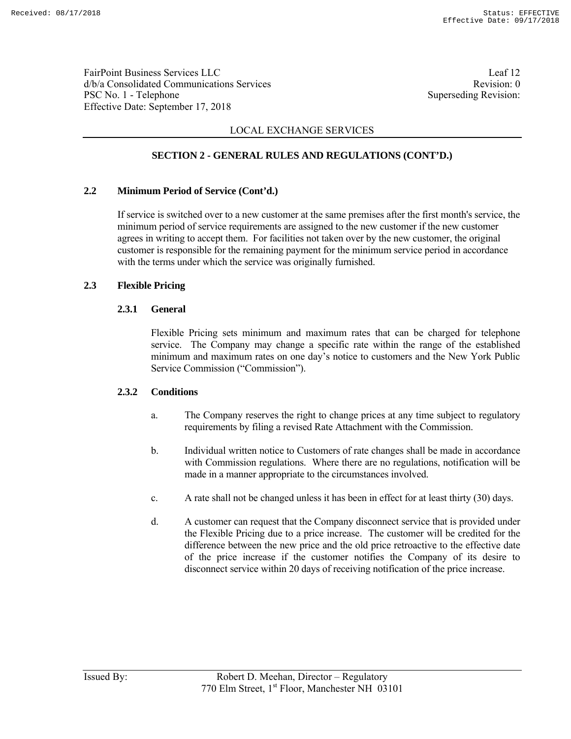FairPoint Business Services LLC Leaf 12 d/b/a Consolidated Communications Services and the consolidated Communications Services PSC No. 1 - Telephone Superseding Revision: Effective Date: September 17, 2018

# LOCAL EXCHANGE SERVICES

# **SECTION 2 - GENERAL RULES AND REGULATIONS (CONT'D.)**

### **2.2 Minimum Period of Service (Cont'd.)**

 If service is switched over to a new customer at the same premises after the first month's service, the minimum period of service requirements are assigned to the new customer if the new customer agrees in writing to accept them. For facilities not taken over by the new customer, the original customer is responsible for the remaining payment for the minimum service period in accordance with the terms under which the service was originally furnished.

### **2.3 Flexible Pricing**

### **2.3.1 General**

 Flexible Pricing sets minimum and maximum rates that can be charged for telephone service. The Company may change a specific rate within the range of the established minimum and maximum rates on one day's notice to customers and the New York Public Service Commission ("Commission").

### **2.3.2 Conditions**

- a. The Company reserves the right to change prices at any time subject to regulatory requirements by filing a revised Rate Attachment with the Commission.
- b. Individual written notice to Customers of rate changes shall be made in accordance with Commission regulations. Where there are no regulations, notification will be made in a manner appropriate to the circumstances involved.
- c. A rate shall not be changed unless it has been in effect for at least thirty (30) days.
- d. A customer can request that the Company disconnect service that is provided under the Flexible Pricing due to a price increase. The customer will be credited for the difference between the new price and the old price retroactive to the effective date of the price increase if the customer notifies the Company of its desire to disconnect service within 20 days of receiving notification of the price increase.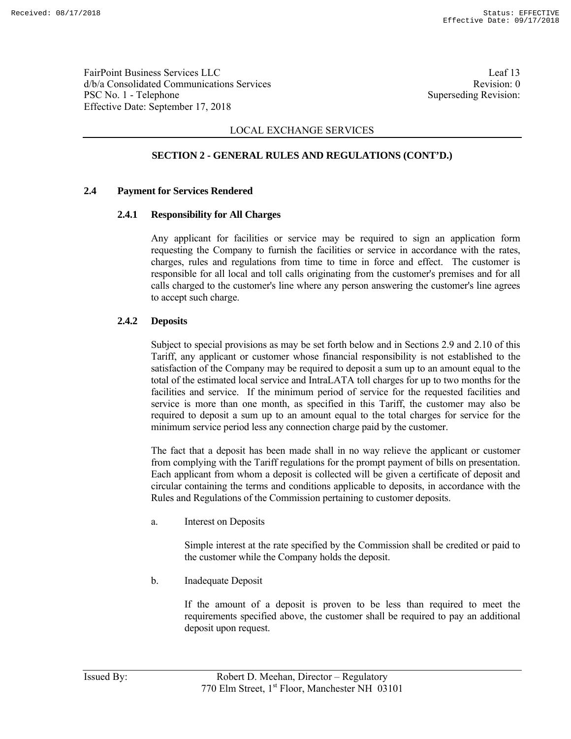FairPoint Business Services LLC Leaf 13 d/b/a Consolidated Communications Services and the service Revision: 0 PSC No. 1 - Telephone Superseding Revision: Effective Date: September 17, 2018

## LOCAL EXCHANGE SERVICES

# **SECTION 2 - GENERAL RULES AND REGULATIONS (CONT'D.)**

### **2.4 Payment for Services Rendered**

### **2.4.1 Responsibility for All Charges**

 Any applicant for facilities or service may be required to sign an application form requesting the Company to furnish the facilities or service in accordance with the rates, charges, rules and regulations from time to time in force and effect. The customer is responsible for all local and toll calls originating from the customer's premises and for all calls charged to the customer's line where any person answering the customer's line agrees to accept such charge.

### **2.4.2 Deposits**

 Subject to special provisions as may be set forth below and in Sections 2.9 and 2.10 of this Tariff, any applicant or customer whose financial responsibility is not established to the satisfaction of the Company may be required to deposit a sum up to an amount equal to the total of the estimated local service and IntraLATA toll charges for up to two months for the facilities and service. If the minimum period of service for the requested facilities and service is more than one month, as specified in this Tariff, the customer may also be required to deposit a sum up to an amount equal to the total charges for service for the minimum service period less any connection charge paid by the customer.

 The fact that a deposit has been made shall in no way relieve the applicant or customer from complying with the Tariff regulations for the prompt payment of bills on presentation. Each applicant from whom a deposit is collected will be given a certificate of deposit and circular containing the terms and conditions applicable to deposits, in accordance with the Rules and Regulations of the Commission pertaining to customer deposits.

a. Interest on Deposits

 Simple interest at the rate specified by the Commission shall be credited or paid to the customer while the Company holds the deposit.

b. Inadequate Deposit

 If the amount of a deposit is proven to be less than required to meet the requirements specified above, the customer shall be required to pay an additional deposit upon request.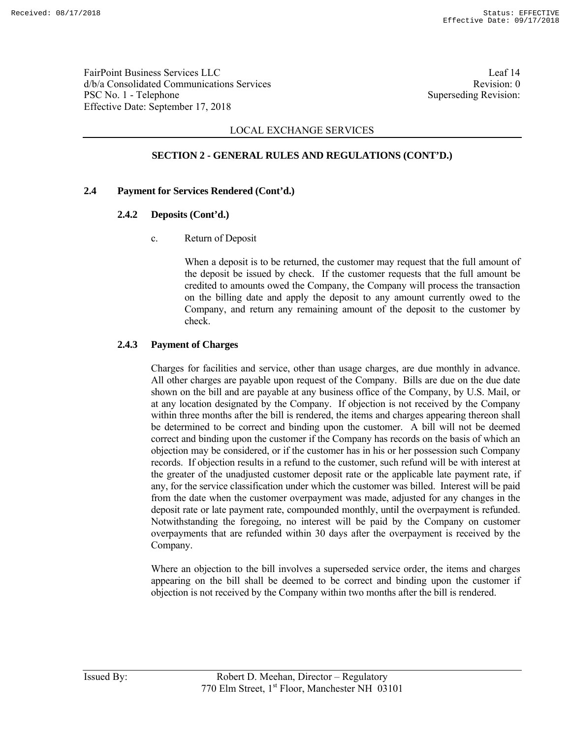FairPoint Business Services LLC Leaf 14 d/b/a Consolidated Communications Services and the service Revision: 0 PSC No. 1 - Telephone Superseding Revision: Effective Date: September 17, 2018

## LOCAL EXCHANGE SERVICES

# **SECTION 2 - GENERAL RULES AND REGULATIONS (CONT'D.)**

### **2.4 Payment for Services Rendered (Cont'd.)**

### **2.4.2 Deposits (Cont'd.)**

c. Return of Deposit

 When a deposit is to be returned, the customer may request that the full amount of the deposit be issued by check. If the customer requests that the full amount be credited to amounts owed the Company, the Company will process the transaction on the billing date and apply the deposit to any amount currently owed to the Company, and return any remaining amount of the deposit to the customer by check.

### **2.4.3 Payment of Charges**

 Charges for facilities and service, other than usage charges, are due monthly in advance. All other charges are payable upon request of the Company. Bills are due on the due date shown on the bill and are payable at any business office of the Company, by U.S. Mail, or at any location designated by the Company. If objection is not received by the Company within three months after the bill is rendered, the items and charges appearing thereon shall be determined to be correct and binding upon the customer. A bill will not be deemed correct and binding upon the customer if the Company has records on the basis of which an objection may be considered, or if the customer has in his or her possession such Company records. If objection results in a refund to the customer, such refund will be with interest at the greater of the unadjusted customer deposit rate or the applicable late payment rate, if any, for the service classification under which the customer was billed. Interest will be paid from the date when the customer overpayment was made, adjusted for any changes in the deposit rate or late payment rate, compounded monthly, until the overpayment is refunded. Notwithstanding the foregoing, no interest will be paid by the Company on customer overpayments that are refunded within 30 days after the overpayment is received by the Company.

 Where an objection to the bill involves a superseded service order, the items and charges appearing on the bill shall be deemed to be correct and binding upon the customer if objection is not received by the Company within two months after the bill is rendered.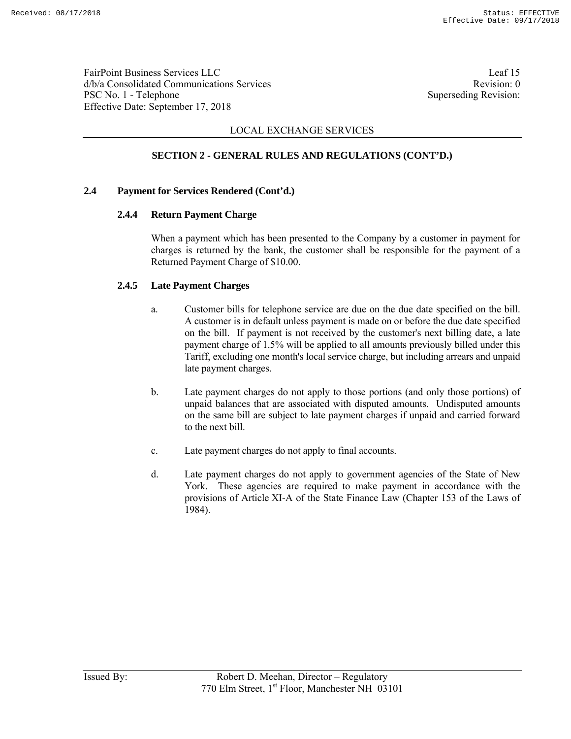FairPoint Business Services LLC Leaf 15 d/b/a Consolidated Communications Services and the service Revision: 0 PSC No. 1 - Telephone Superseding Revision: Effective Date: September 17, 2018

## LOCAL EXCHANGE SERVICES

# **SECTION 2 - GENERAL RULES AND REGULATIONS (CONT'D.)**

### **2.4 Payment for Services Rendered (Cont'd.)**

### **2.4.4 Return Payment Charge**

 When a payment which has been presented to the Company by a customer in payment for charges is returned by the bank, the customer shall be responsible for the payment of a Returned Payment Charge of \$10.00.

### **2.4.5 Late Payment Charges**

- a. Customer bills for telephone service are due on the due date specified on the bill. A customer is in default unless payment is made on or before the due date specified on the bill. If payment is not received by the customer's next billing date, a late payment charge of 1.5% will be applied to all amounts previously billed under this Tariff, excluding one month's local service charge, but including arrears and unpaid late payment charges.
- b. Late payment charges do not apply to those portions (and only those portions) of unpaid balances that are associated with disputed amounts. Undisputed amounts on the same bill are subject to late payment charges if unpaid and carried forward to the next bill.
- c. Late payment charges do not apply to final accounts.
- d. Late payment charges do not apply to government agencies of the State of New York. These agencies are required to make payment in accordance with the provisions of Article XI-A of the State Finance Law (Chapter 153 of the Laws of 1984).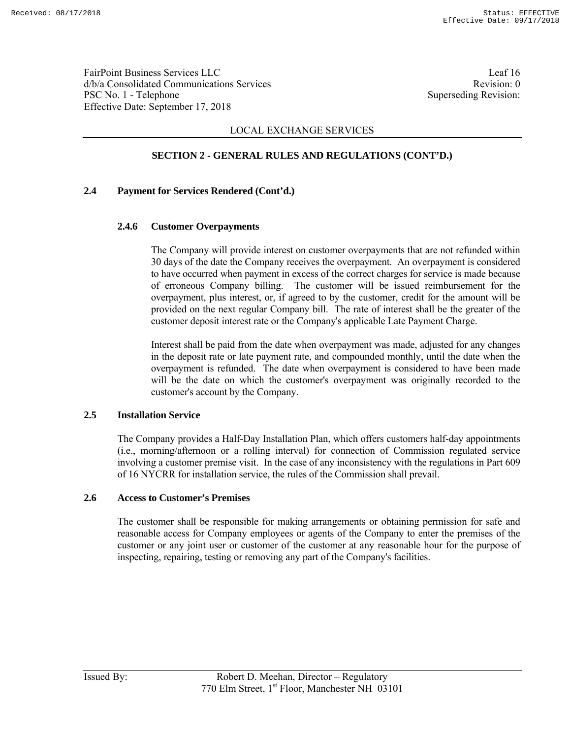FairPoint Business Services LLC Leaf 16 d/b/a Consolidated Communications Services and the service Revision: 0 PSC No. 1 - Telephone Superseding Revision: Effective Date: September 17, 2018

## LOCAL EXCHANGE SERVICES

# **SECTION 2 - GENERAL RULES AND REGULATIONS (CONT'D.)**

### **2.4 Payment for Services Rendered (Cont'd.)**

### **2.4.6 Customer Overpayments**

 The Company will provide interest on customer overpayments that are not refunded within 30 days of the date the Company receives the overpayment. An overpayment is considered to have occurred when payment in excess of the correct charges for service is made because of erroneous Company billing. The customer will be issued reimbursement for the overpayment, plus interest, or, if agreed to by the customer, credit for the amount will be provided on the next regular Company bill. The rate of interest shall be the greater of the customer deposit interest rate or the Company's applicable Late Payment Charge.

 Interest shall be paid from the date when overpayment was made, adjusted for any changes in the deposit rate or late payment rate, and compounded monthly, until the date when the overpayment is refunded. The date when overpayment is considered to have been made will be the date on which the customer's overpayment was originally recorded to the customer's account by the Company.

#### **2.5 Installation Service**

 The Company provides a Half-Day Installation Plan, which offers customers half-day appointments (i.e., morning/afternoon or a rolling interval) for connection of Commission regulated service involving a customer premise visit. In the case of any inconsistency with the regulations in Part 609 of 16 NYCRR for installation service, the rules of the Commission shall prevail.

#### **2.6 Access to Customer's Premises**

 The customer shall be responsible for making arrangements or obtaining permission for safe and reasonable access for Company employees or agents of the Company to enter the premises of the customer or any joint user or customer of the customer at any reasonable hour for the purpose of inspecting, repairing, testing or removing any part of the Company's facilities.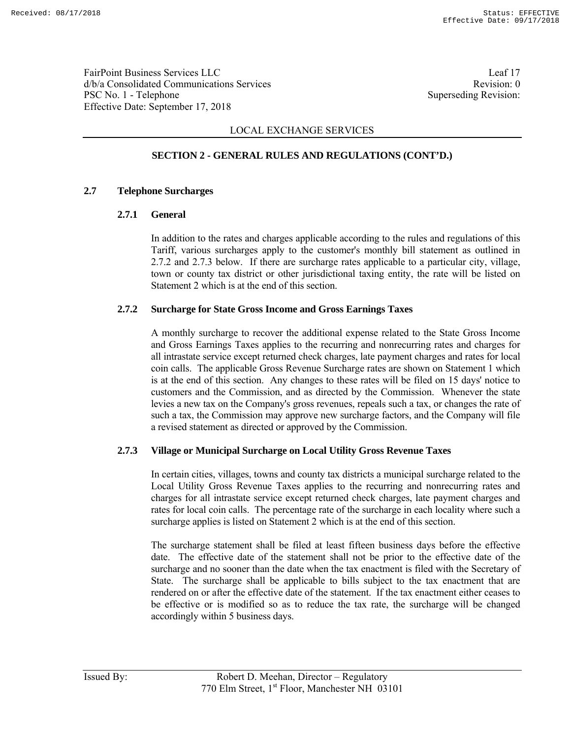FairPoint Business Services LLC Leaf 17 d/b/a Consolidated Communications Services and the service Revision: 0 PSC No. 1 - Telephone Superseding Revision: Effective Date: September 17, 2018

## LOCAL EXCHANGE SERVICES

# **SECTION 2 - GENERAL RULES AND REGULATIONS (CONT'D.)**

### **2.7 Telephone Surcharges**

### **2.7.1 General**

 In addition to the rates and charges applicable according to the rules and regulations of this Tariff, various surcharges apply to the customer's monthly bill statement as outlined in 2.7.2 and 2.7.3 below. If there are surcharge rates applicable to a particular city, village, town or county tax district or other jurisdictional taxing entity, the rate will be listed on Statement 2 which is at the end of this section.

### **2.7.2 Surcharge for State Gross Income and Gross Earnings Taxes**

 A monthly surcharge to recover the additional expense related to the State Gross Income and Gross Earnings Taxes applies to the recurring and nonrecurring rates and charges for all intrastate service except returned check charges, late payment charges and rates for local coin calls. The applicable Gross Revenue Surcharge rates are shown on Statement 1 which is at the end of this section. Any changes to these rates will be filed on 15 days' notice to customers and the Commission, and as directed by the Commission. Whenever the state levies a new tax on the Company's gross revenues, repeals such a tax, or changes the rate of such a tax, the Commission may approve new surcharge factors, and the Company will file a revised statement as directed or approved by the Commission.

### **2.7.3 Village or Municipal Surcharge on Local Utility Gross Revenue Taxes**

 In certain cities, villages, towns and county tax districts a municipal surcharge related to the Local Utility Gross Revenue Taxes applies to the recurring and nonrecurring rates and charges for all intrastate service except returned check charges, late payment charges and rates for local coin calls. The percentage rate of the surcharge in each locality where such a surcharge applies is listed on Statement 2 which is at the end of this section.

 The surcharge statement shall be filed at least fifteen business days before the effective date. The effective date of the statement shall not be prior to the effective date of the surcharge and no sooner than the date when the tax enactment is filed with the Secretary of State. The surcharge shall be applicable to bills subject to the tax enactment that are rendered on or after the effective date of the statement. If the tax enactment either ceases to be effective or is modified so as to reduce the tax rate, the surcharge will be changed accordingly within 5 business days.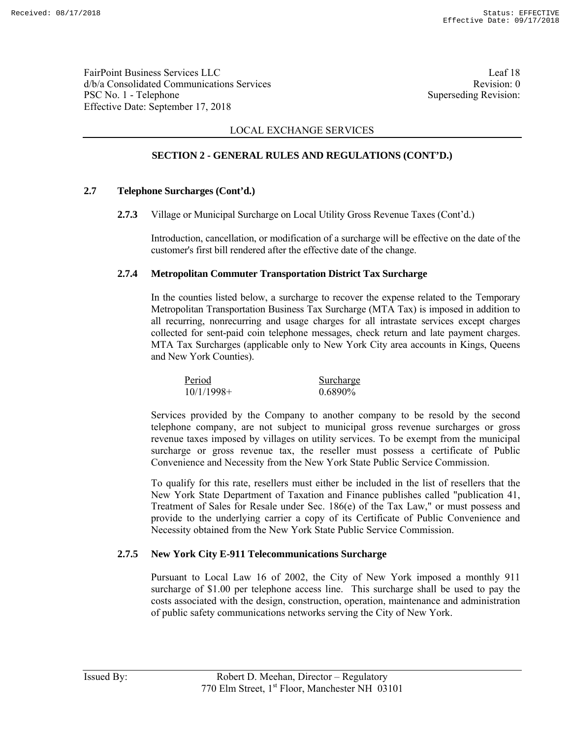FairPoint Business Services LLC Leaf 18 d/b/a Consolidated Communications Services and the service Revision: 0 PSC No. 1 - Telephone Superseding Revision: Effective Date: September 17, 2018

## LOCAL EXCHANGE SERVICES

# **SECTION 2 - GENERAL RULES AND REGULATIONS (CONT'D.)**

### **2.7 Telephone Surcharges (Cont'd.)**

**2.7.3** Village or Municipal Surcharge on Local Utility Gross Revenue Taxes (Cont'd.)

Introduction, cancellation, or modification of a surcharge will be effective on the date of the customer's first bill rendered after the effective date of the change.

### **2.7.4 Metropolitan Commuter Transportation District Tax Surcharge**

 In the counties listed below, a surcharge to recover the expense related to the Temporary Metropolitan Transportation Business Tax Surcharge (MTA Tax) is imposed in addition to all recurring, nonrecurring and usage charges for all intrastate services except charges collected for sent-paid coin telephone messages, check return and late payment charges. MTA Tax Surcharges (applicable only to New York City area accounts in Kings, Queens and New York Counties).

Period Surcharge 10/1/1998+ 0.6890%

 Services provided by the Company to another company to be resold by the second telephone company, are not subject to municipal gross revenue surcharges or gross revenue taxes imposed by villages on utility services. To be exempt from the municipal surcharge or gross revenue tax, the reseller must possess a certificate of Public Convenience and Necessity from the New York State Public Service Commission.

 To qualify for this rate, resellers must either be included in the list of resellers that the New York State Department of Taxation and Finance publishes called "publication 41, Treatment of Sales for Resale under Sec. 186(e) of the Tax Law," or must possess and provide to the underlying carrier a copy of its Certificate of Public Convenience and Necessity obtained from the New York State Public Service Commission.

### **2.7.5 New York City E-911 Telecommunications Surcharge**

 Pursuant to Local Law 16 of 2002, the City of New York imposed a monthly 911 surcharge of \$1.00 per telephone access line. This surcharge shall be used to pay the costs associated with the design, construction, operation, maintenance and administration of public safety communications networks serving the City of New York.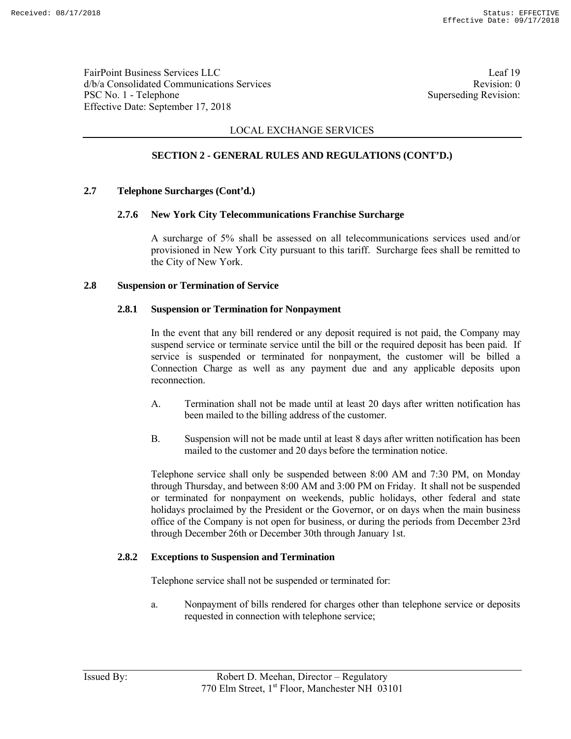FairPoint Business Services LLC Leaf 19 d/b/a Consolidated Communications Services and the service Revision: 0 PSC No. 1 - Telephone Superseding Revision: Effective Date: September 17, 2018

## LOCAL EXCHANGE SERVICES

# **SECTION 2 - GENERAL RULES AND REGULATIONS (CONT'D.)**

### **2.7 Telephone Surcharges (Cont'd.)**

### **2.7.6 New York City Telecommunications Franchise Surcharge**

 A surcharge of 5% shall be assessed on all telecommunications services used and/or provisioned in New York City pursuant to this tariff. Surcharge fees shall be remitted to the City of New York.

### **2.8 Suspension or Termination of Service**

#### **2.8.1 Suspension or Termination for Nonpayment**

 In the event that any bill rendered or any deposit required is not paid, the Company may suspend service or terminate service until the bill or the required deposit has been paid. If service is suspended or terminated for nonpayment, the customer will be billed a Connection Charge as well as any payment due and any applicable deposits upon reconnection.

- A. Termination shall not be made until at least 20 days after written notification has been mailed to the billing address of the customer.
- B. Suspension will not be made until at least 8 days after written notification has been mailed to the customer and 20 days before the termination notice.

 Telephone service shall only be suspended between 8:00 AM and 7:30 PM, on Monday through Thursday, and between 8:00 AM and 3:00 PM on Friday. It shall not be suspended or terminated for nonpayment on weekends, public holidays, other federal and state holidays proclaimed by the President or the Governor, or on days when the main business office of the Company is not open for business, or during the periods from December 23rd through December 26th or December 30th through January 1st.

### **2.8.2 Exceptions to Suspension and Termination**

Telephone service shall not be suspended or terminated for:

 a. Nonpayment of bills rendered for charges other than telephone service or deposits requested in connection with telephone service;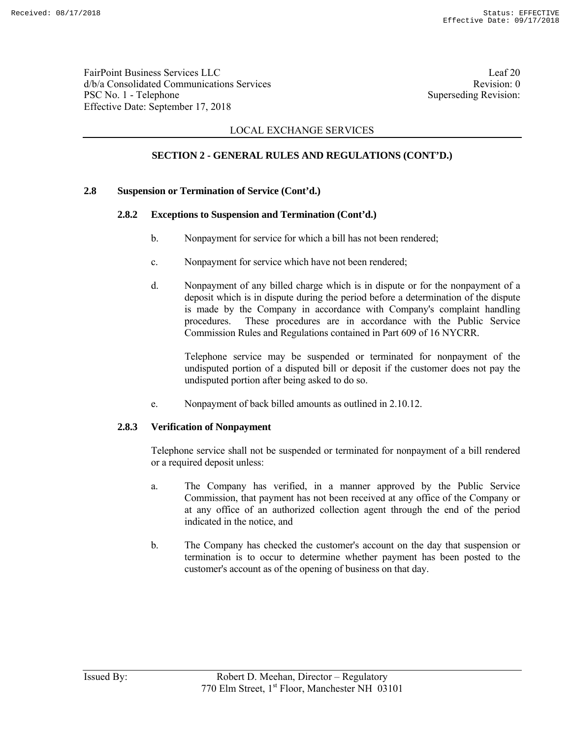FairPoint Business Services LLC Leaf 20 d/b/a Consolidated Communications Services and the service Revision: 0 PSC No. 1 - Telephone Superseding Revision: Effective Date: September 17, 2018

## LOCAL EXCHANGE SERVICES

## **SECTION 2 - GENERAL RULES AND REGULATIONS (CONT'D.)**

### **2.8 Suspension or Termination of Service (Cont'd.)**

### **2.8.2 Exceptions to Suspension and Termination (Cont'd.)**

- b. Nonpayment for service for which a bill has not been rendered;
- c. Nonpayment for service which have not been rendered;
- d. Nonpayment of any billed charge which is in dispute or for the nonpayment of a deposit which is in dispute during the period before a determination of the dispute is made by the Company in accordance with Company's complaint handling procedures. These procedures are in accordance with the Public Service Commission Rules and Regulations contained in Part 609 of 16 NYCRR.

 Telephone service may be suspended or terminated for nonpayment of the undisputed portion of a disputed bill or deposit if the customer does not pay the undisputed portion after being asked to do so.

e. Nonpayment of back billed amounts as outlined in 2.10.12.

#### **2.8.3 Verification of Nonpayment**

 Telephone service shall not be suspended or terminated for nonpayment of a bill rendered or a required deposit unless:

- a. The Company has verified, in a manner approved by the Public Service Commission, that payment has not been received at any office of the Company or at any office of an authorized collection agent through the end of the period indicated in the notice, and
- b. The Company has checked the customer's account on the day that suspension or termination is to occur to determine whether payment has been posted to the customer's account as of the opening of business on that day.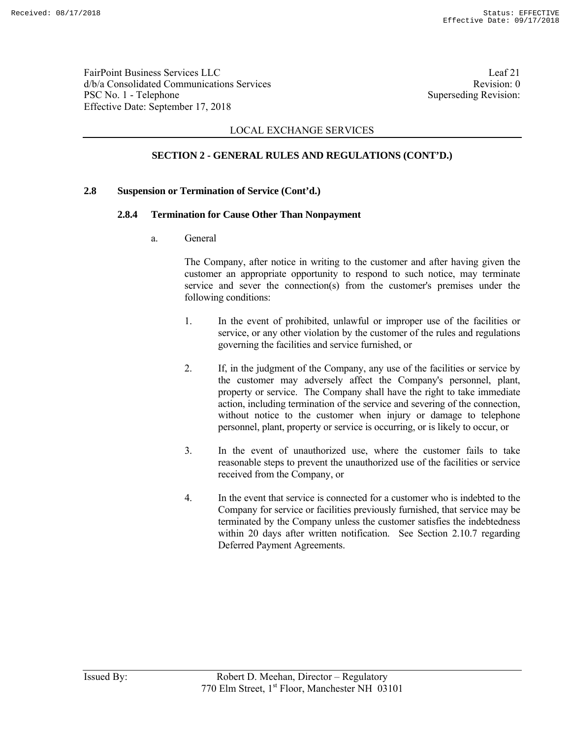FairPoint Business Services LLC Leaf 21 d/b/a Consolidated Communications Services and the service Revision: 0 PSC No. 1 - Telephone Superseding Revision: Effective Date: September 17, 2018

## LOCAL EXCHANGE SERVICES

# **SECTION 2 - GENERAL RULES AND REGULATIONS (CONT'D.)**

### **2.8 Suspension or Termination of Service (Cont'd.)**

#### **2.8.4 Termination for Cause Other Than Nonpayment**

a. General

 The Company, after notice in writing to the customer and after having given the customer an appropriate opportunity to respond to such notice, may terminate service and sever the connection(s) from the customer's premises under the following conditions:

- 1. In the event of prohibited, unlawful or improper use of the facilities or service, or any other violation by the customer of the rules and regulations governing the facilities and service furnished, or
- 2. If, in the judgment of the Company, any use of the facilities or service by the customer may adversely affect the Company's personnel, plant, property or service. The Company shall have the right to take immediate action, including termination of the service and severing of the connection, without notice to the customer when injury or damage to telephone personnel, plant, property or service is occurring, or is likely to occur, or
- 3. In the event of unauthorized use, where the customer fails to take reasonable steps to prevent the unauthorized use of the facilities or service received from the Company, or
- 4. In the event that service is connected for a customer who is indebted to the Company for service or facilities previously furnished, that service may be terminated by the Company unless the customer satisfies the indebtedness within 20 days after written notification. See Section 2.10.7 regarding Deferred Payment Agreements.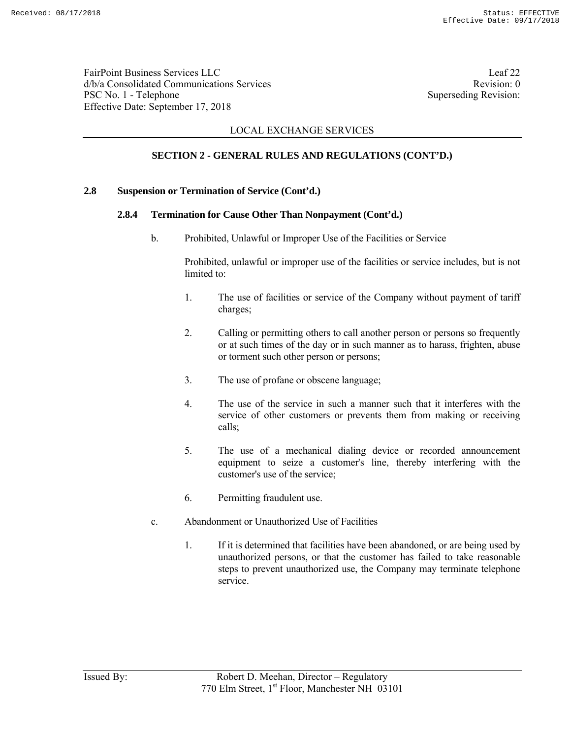FairPoint Business Services LLC Leaf 22 d/b/a Consolidated Communications Services and the consolidated Communications Services PSC No. 1 - Telephone Superseding Revision: Effective Date: September 17, 2018

## LOCAL EXCHANGE SERVICES

## **SECTION 2 - GENERAL RULES AND REGULATIONS (CONT'D.)**

#### **2.8 Suspension or Termination of Service (Cont'd.)**

### **2.8.4 Termination for Cause Other Than Nonpayment (Cont'd.)**

b. Prohibited, Unlawful or Improper Use of the Facilities or Service

 Prohibited, unlawful or improper use of the facilities or service includes, but is not limited to:

- 1. The use of facilities or service of the Company without payment of tariff charges;
- 2. Calling or permitting others to call another person or persons so frequently or at such times of the day or in such manner as to harass, frighten, abuse or torment such other person or persons;
- 3. The use of profane or obscene language;
- 4. The use of the service in such a manner such that it interferes with the service of other customers or prevents them from making or receiving calls;
- 5. The use of a mechanical dialing device or recorded announcement equipment to seize a customer's line, thereby interfering with the customer's use of the service;
- 6. Permitting fraudulent use.
- c. Abandonment or Unauthorized Use of Facilities
	- 1. If it is determined that facilities have been abandoned, or are being used by unauthorized persons, or that the customer has failed to take reasonable steps to prevent unauthorized use, the Company may terminate telephone service.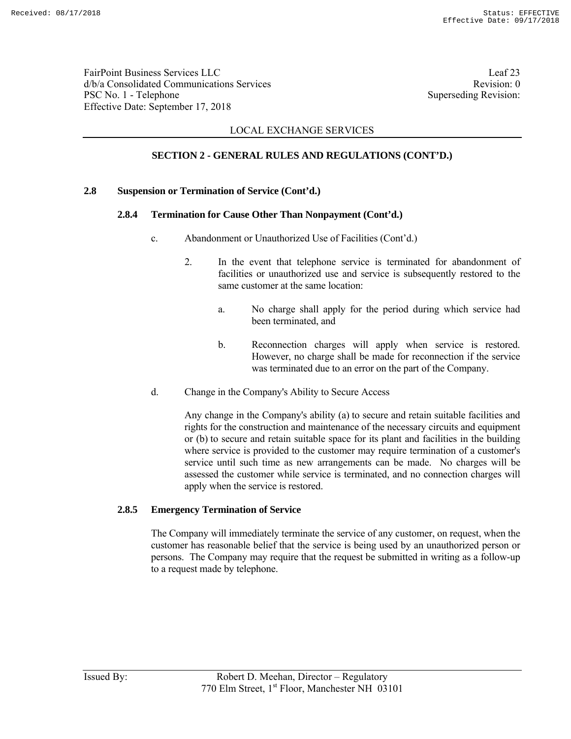FairPoint Business Services LLC Leaf 23 d/b/a Consolidated Communications Services and the service Revision: 0 PSC No. 1 - Telephone Superseding Revision: Effective Date: September 17, 2018

## LOCAL EXCHANGE SERVICES

## **SECTION 2 - GENERAL RULES AND REGULATIONS (CONT'D.)**

### **2.8 Suspension or Termination of Service (Cont'd.)**

### **2.8.4 Termination for Cause Other Than Nonpayment (Cont'd.)**

- c. Abandonment or Unauthorized Use of Facilities (Cont'd.)
	- 2. In the event that telephone service is terminated for abandonment of facilities or unauthorized use and service is subsequently restored to the same customer at the same location:
		- a. No charge shall apply for the period during which service had been terminated, and
		- b. Reconnection charges will apply when service is restored. However, no charge shall be made for reconnection if the service was terminated due to an error on the part of the Company.
- d. Change in the Company's Ability to Secure Access

 Any change in the Company's ability (a) to secure and retain suitable facilities and rights for the construction and maintenance of the necessary circuits and equipment or (b) to secure and retain suitable space for its plant and facilities in the building where service is provided to the customer may require termination of a customer's service until such time as new arrangements can be made. No charges will be assessed the customer while service is terminated, and no connection charges will apply when the service is restored.

#### **2.8.5 Emergency Termination of Service**

 The Company will immediately terminate the service of any customer, on request, when the customer has reasonable belief that the service is being used by an unauthorized person or persons. The Company may require that the request be submitted in writing as a follow-up to a request made by telephone.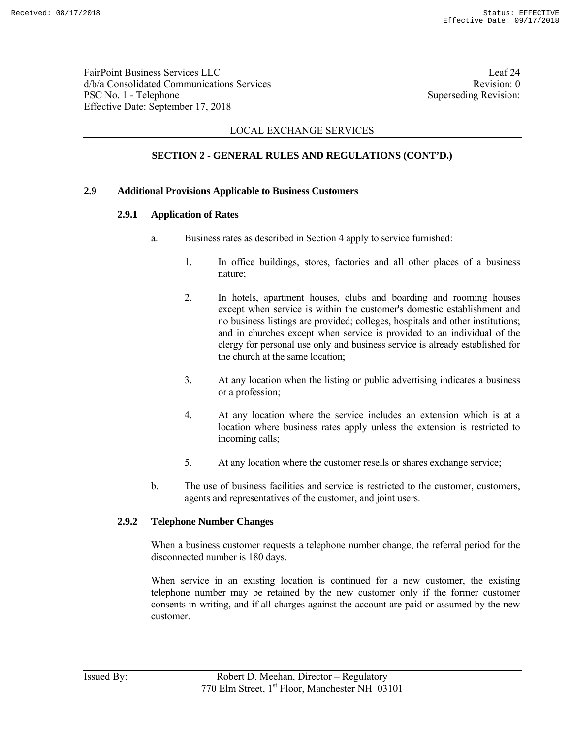FairPoint Business Services LLC Leaf 24 d/b/a Consolidated Communications Services and the vision of the Revision: 0 PSC No. 1 - Telephone Superseding Revision: Effective Date: September 17, 2018

## LOCAL EXCHANGE SERVICES

## **SECTION 2 - GENERAL RULES AND REGULATIONS (CONT'D.)**

#### **2.9 Additional Provisions Applicable to Business Customers**

### **2.9.1 Application of Rates**

- a. Business rates as described in Section 4 apply to service furnished:
	- 1. In office buildings, stores, factories and all other places of a business nature;
	- 2. In hotels, apartment houses, clubs and boarding and rooming houses except when service is within the customer's domestic establishment and no business listings are provided; colleges, hospitals and other institutions; and in churches except when service is provided to an individual of the clergy for personal use only and business service is already established for the church at the same location;
	- 3. At any location when the listing or public advertising indicates a business or a profession;
	- 4. At any location where the service includes an extension which is at a location where business rates apply unless the extension is restricted to incoming calls;
	- 5. At any location where the customer resells or shares exchange service;
- b. The use of business facilities and service is restricted to the customer, customers, agents and representatives of the customer, and joint users.

### **2.9.2 Telephone Number Changes**

 When a business customer requests a telephone number change, the referral period for the disconnected number is 180 days.

 When service in an existing location is continued for a new customer, the existing telephone number may be retained by the new customer only if the former customer consents in writing, and if all charges against the account are paid or assumed by the new customer.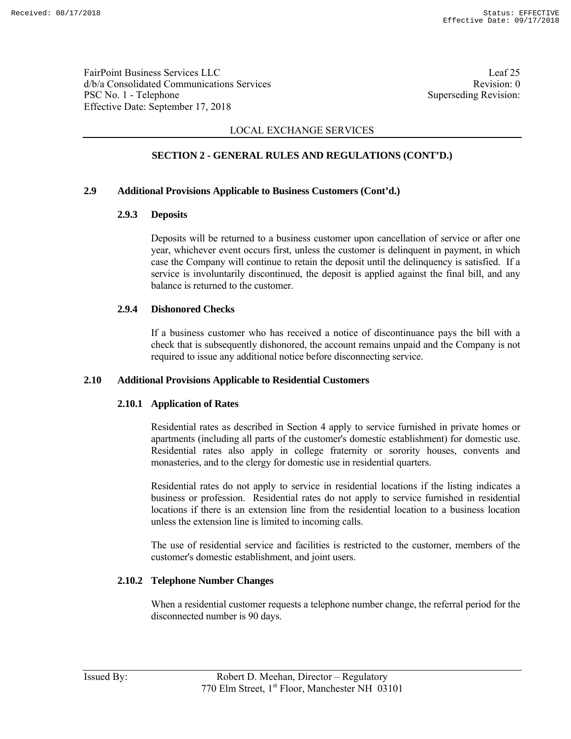FairPoint Business Services LLC Leaf 25 d/b/a Consolidated Communications Services and the service Revision: 0 PSC No. 1 - Telephone Superseding Revision: Effective Date: September 17, 2018

## LOCAL EXCHANGE SERVICES

## **SECTION 2 - GENERAL RULES AND REGULATIONS (CONT'D.)**

### **2.9 Additional Provisions Applicable to Business Customers (Cont'd.)**

### **2.9.3 Deposits**

 Deposits will be returned to a business customer upon cancellation of service or after one year, whichever event occurs first, unless the customer is delinquent in payment, in which case the Company will continue to retain the deposit until the delinquency is satisfied. If a service is involuntarily discontinued, the deposit is applied against the final bill, and any balance is returned to the customer.

### **2.9.4 Dishonored Checks**

 If a business customer who has received a notice of discontinuance pays the bill with a check that is subsequently dishonored, the account remains unpaid and the Company is not required to issue any additional notice before disconnecting service.

### **2.10 Additional Provisions Applicable to Residential Customers**

### **2.10.1 Application of Rates**

 Residential rates as described in Section 4 apply to service furnished in private homes or apartments (including all parts of the customer's domestic establishment) for domestic use. Residential rates also apply in college fraternity or sorority houses, convents and monasteries, and to the clergy for domestic use in residential quarters.

 Residential rates do not apply to service in residential locations if the listing indicates a business or profession. Residential rates do not apply to service furnished in residential locations if there is an extension line from the residential location to a business location unless the extension line is limited to incoming calls.

 The use of residential service and facilities is restricted to the customer, members of the customer's domestic establishment, and joint users.

### **2.10.2 Telephone Number Changes**

 When a residential customer requests a telephone number change, the referral period for the disconnected number is 90 days.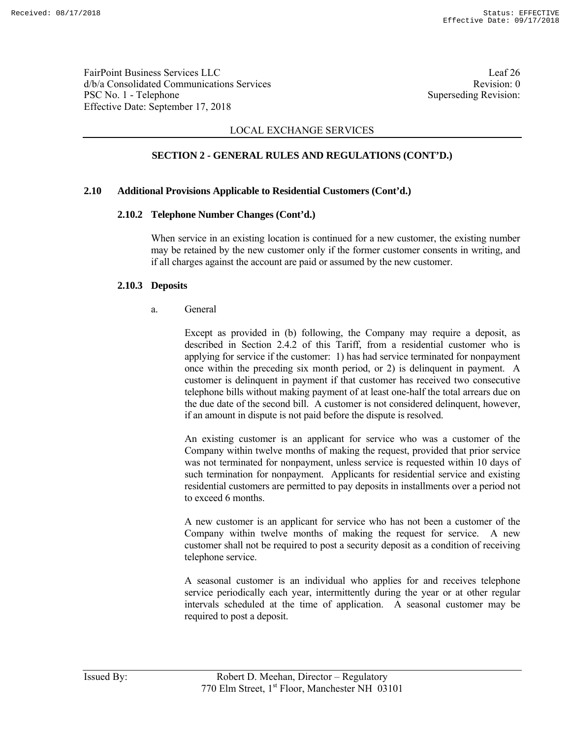FairPoint Business Services LLC Leaf 26 d/b/a Consolidated Communications Services and the service Revision: 0 PSC No. 1 - Telephone Superseding Revision: Effective Date: September 17, 2018

### LOCAL EXCHANGE SERVICES

### **SECTION 2 - GENERAL RULES AND REGULATIONS (CONT'D.)**

#### **2.10 Additional Provisions Applicable to Residential Customers (Cont'd.)**

#### **2.10.2 Telephone Number Changes (Cont'd.)**

 When service in an existing location is continued for a new customer, the existing number may be retained by the new customer only if the former customer consents in writing, and if all charges against the account are paid or assumed by the new customer.

#### **2.10.3 Deposits**

a. General

 Except as provided in (b) following, the Company may require a deposit, as described in Section 2.4.2 of this Tariff, from a residential customer who is applying for service if the customer: 1) has had service terminated for nonpayment once within the preceding six month period, or 2) is delinquent in payment. A customer is delinquent in payment if that customer has received two consecutive telephone bills without making payment of at least one-half the total arrears due on the due date of the second bill. A customer is not considered delinquent, however, if an amount in dispute is not paid before the dispute is resolved.

 An existing customer is an applicant for service who was a customer of the Company within twelve months of making the request, provided that prior service was not terminated for nonpayment, unless service is requested within 10 days of such termination for nonpayment. Applicants for residential service and existing residential customers are permitted to pay deposits in installments over a period not to exceed 6 months.

 A new customer is an applicant for service who has not been a customer of the Company within twelve months of making the request for service. A new customer shall not be required to post a security deposit as a condition of receiving telephone service.

 A seasonal customer is an individual who applies for and receives telephone service periodically each year, intermittently during the year or at other regular intervals scheduled at the time of application. A seasonal customer may be required to post a deposit.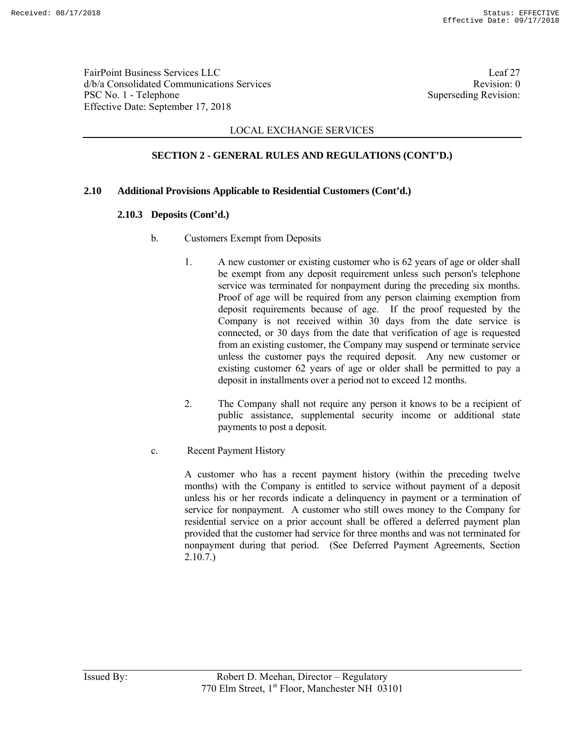FairPoint Business Services LLC Leaf 27 d/b/a Consolidated Communications Services and the service Revision: 0 PSC No. 1 - Telephone Superseding Revision: Effective Date: September 17, 2018

## LOCAL EXCHANGE SERVICES

# **SECTION 2 - GENERAL RULES AND REGULATIONS (CONT'D.)**

### **2.10 Additional Provisions Applicable to Residential Customers (Cont'd.)**

### **2.10.3 Deposits (Cont'd.)**

- b. Customers Exempt from Deposits
	- 1. A new customer or existing customer who is 62 years of age or older shall be exempt from any deposit requirement unless such person's telephone service was terminated for nonpayment during the preceding six months. Proof of age will be required from any person claiming exemption from deposit requirements because of age. If the proof requested by the Company is not received within 30 days from the date service is connected, or 30 days from the date that verification of age is requested from an existing customer, the Company may suspend or terminate service unless the customer pays the required deposit. Any new customer or existing customer 62 years of age or older shall be permitted to pay a deposit in installments over a period not to exceed 12 months.
	- 2. The Company shall not require any person it knows to be a recipient of public assistance, supplemental security income or additional state payments to post a deposit.
- c. Recent Payment History

 A customer who has a recent payment history (within the preceding twelve months) with the Company is entitled to service without payment of a deposit unless his or her records indicate a delinquency in payment or a termination of service for nonpayment. A customer who still owes money to the Company for residential service on a prior account shall be offered a deferred payment plan provided that the customer had service for three months and was not terminated for nonpayment during that period. (See Deferred Payment Agreements, Section 2.10.7.)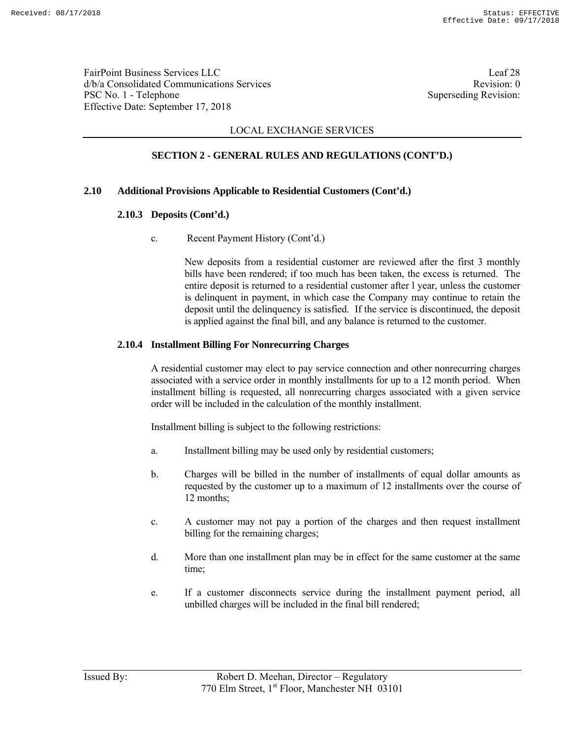FairPoint Business Services LLC Leaf 28 d/b/a Consolidated Communications Services and the consolidated Communications Services PSC No. 1 - Telephone Superseding Revision: Effective Date: September 17, 2018

## LOCAL EXCHANGE SERVICES

# **SECTION 2 - GENERAL RULES AND REGULATIONS (CONT'D.)**

### **2.10 Additional Provisions Applicable to Residential Customers (Cont'd.)**

### **2.10.3 Deposits (Cont'd.)**

c. Recent Payment History (Cont'd.)

 New deposits from a residential customer are reviewed after the first 3 monthly bills have been rendered; if too much has been taken, the excess is returned. The entire deposit is returned to a residential customer after l year, unless the customer is delinquent in payment, in which case the Company may continue to retain the deposit until the delinquency is satisfied. If the service is discontinued, the deposit is applied against the final bill, and any balance is returned to the customer.

### **2.10.4 Installment Billing For Nonrecurring Charges**

 A residential customer may elect to pay service connection and other nonrecurring charges associated with a service order in monthly installments for up to a 12 month period. When installment billing is requested, all nonrecurring charges associated with a given service order will be included in the calculation of the monthly installment.

Installment billing is subject to the following restrictions:

- a. Installment billing may be used only by residential customers;
- b. Charges will be billed in the number of installments of equal dollar amounts as requested by the customer up to a maximum of 12 installments over the course of 12 months;
- c. A customer may not pay a portion of the charges and then request installment billing for the remaining charges;
- d. More than one installment plan may be in effect for the same customer at the same time;
- e. If a customer disconnects service during the installment payment period, all unbilled charges will be included in the final bill rendered;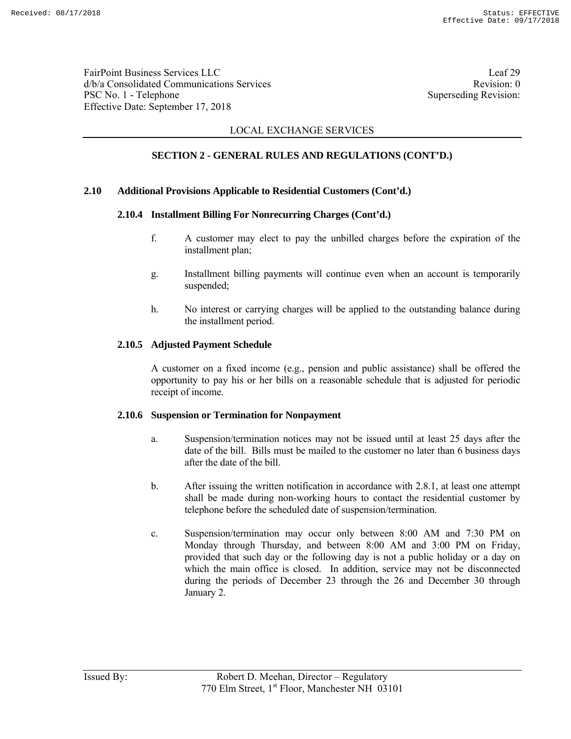FairPoint Business Services LLC Leaf 29 d/b/a Consolidated Communications Services and the service Revision: 0 PSC No. 1 - Telephone Superseding Revision: Effective Date: September 17, 2018

## LOCAL EXCHANGE SERVICES

# **SECTION 2 - GENERAL RULES AND REGULATIONS (CONT'D.)**

#### **2.10 Additional Provisions Applicable to Residential Customers (Cont'd.)**

### **2.10.4 Installment Billing For Nonrecurring Charges (Cont'd.)**

- f. A customer may elect to pay the unbilled charges before the expiration of the installment plan;
- g. Installment billing payments will continue even when an account is temporarily suspended;
- h. No interest or carrying charges will be applied to the outstanding balance during the installment period.

### **2.10.5 Adjusted Payment Schedule**

 A customer on a fixed income (e.g., pension and public assistance) shall be offered the opportunity to pay his or her bills on a reasonable schedule that is adjusted for periodic receipt of income.

#### **2.10.6 Suspension or Termination for Nonpayment**

- a. Suspension/termination notices may not be issued until at least 25 days after the date of the bill. Bills must be mailed to the customer no later than 6 business days after the date of the bill.
- b. After issuing the written notification in accordance with 2.8.1, at least one attempt shall be made during non-working hours to contact the residential customer by telephone before the scheduled date of suspension/termination.
- c. Suspension/termination may occur only between 8:00 AM and 7:30 PM on Monday through Thursday, and between 8:00 AM and 3:00 PM on Friday, provided that such day or the following day is not a public holiday or a day on which the main office is closed. In addition, service may not be disconnected during the periods of December 23 through the 26 and December 30 through January 2.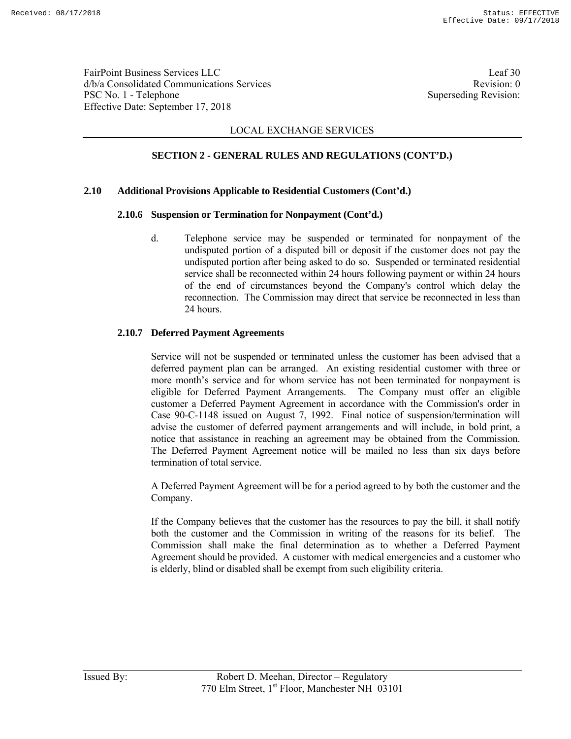FairPoint Business Services LLC Leaf 30 d/b/a Consolidated Communications Services and the service Revision: 0 PSC No. 1 - Telephone Superseding Revision: Effective Date: September 17, 2018

## LOCAL EXCHANGE SERVICES

## **SECTION 2 - GENERAL RULES AND REGULATIONS (CONT'D.)**

#### **2.10 Additional Provisions Applicable to Residential Customers (Cont'd.)**

### **2.10.6 Suspension or Termination for Nonpayment (Cont'd.)**

 d. Telephone service may be suspended or terminated for nonpayment of the undisputed portion of a disputed bill or deposit if the customer does not pay the undisputed portion after being asked to do so. Suspended or terminated residential service shall be reconnected within 24 hours following payment or within 24 hours of the end of circumstances beyond the Company's control which delay the reconnection. The Commission may direct that service be reconnected in less than 24 hours.

### **2.10.7 Deferred Payment Agreements**

 Service will not be suspended or terminated unless the customer has been advised that a deferred payment plan can be arranged. An existing residential customer with three or more month's service and for whom service has not been terminated for nonpayment is eligible for Deferred Payment Arrangements. The Company must offer an eligible customer a Deferred Payment Agreement in accordance with the Commission's order in Case 90-C-1148 issued on August 7, 1992. Final notice of suspension/termination will advise the customer of deferred payment arrangements and will include, in bold print, a notice that assistance in reaching an agreement may be obtained from the Commission. The Deferred Payment Agreement notice will be mailed no less than six days before termination of total service.

 A Deferred Payment Agreement will be for a period agreed to by both the customer and the Company.

 If the Company believes that the customer has the resources to pay the bill, it shall notify both the customer and the Commission in writing of the reasons for its belief. The Commission shall make the final determination as to whether a Deferred Payment Agreement should be provided. A customer with medical emergencies and a customer who is elderly, blind or disabled shall be exempt from such eligibility criteria.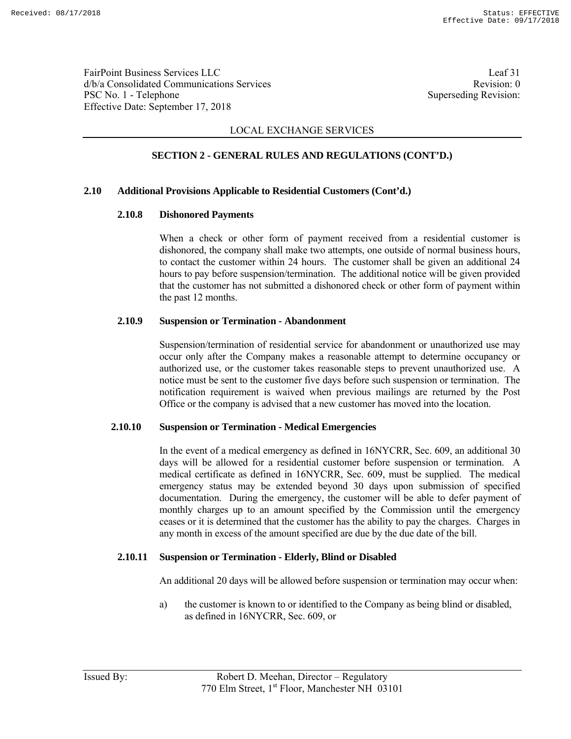FairPoint Business Services LLC Leaf 31 d/b/a Consolidated Communications Services and the service Revision: 0 PSC No. 1 - Telephone Superseding Revision: Effective Date: September 17, 2018

## LOCAL EXCHANGE SERVICES

# **SECTION 2 - GENERAL RULES AND REGULATIONS (CONT'D.)**

### **2.10 Additional Provisions Applicable to Residential Customers (Cont'd.)**

### **2.10.8 Dishonored Payments**

 When a check or other form of payment received from a residential customer is dishonored, the company shall make two attempts, one outside of normal business hours, to contact the customer within 24 hours. The customer shall be given an additional 24 hours to pay before suspension/termination. The additional notice will be given provided that the customer has not submitted a dishonored check or other form of payment within the past 12 months.

### **2.10.9 Suspension or Termination - Abandonment**

 Suspension/termination of residential service for abandonment or unauthorized use may occur only after the Company makes a reasonable attempt to determine occupancy or authorized use, or the customer takes reasonable steps to prevent unauthorized use. A notice must be sent to the customer five days before such suspension or termination. The notification requirement is waived when previous mailings are returned by the Post Office or the company is advised that a new customer has moved into the location.

#### **2.10.10 Suspension or Termination - Medical Emergencies**

 In the event of a medical emergency as defined in 16NYCRR, Sec. 609, an additional 30 days will be allowed for a residential customer before suspension or termination. A medical certificate as defined in 16NYCRR, Sec. 609, must be supplied. The medical emergency status may be extended beyond 30 days upon submission of specified documentation. During the emergency, the customer will be able to defer payment of monthly charges up to an amount specified by the Commission until the emergency ceases or it is determined that the customer has the ability to pay the charges. Charges in any month in excess of the amount specified are due by the due date of the bill.

### **2.10.11 Suspension or Termination - Elderly, Blind or Disabled**

An additional 20 days will be allowed before suspension or termination may occur when:

 a) the customer is known to or identified to the Company as being blind or disabled, as defined in 16NYCRR, Sec. 609, or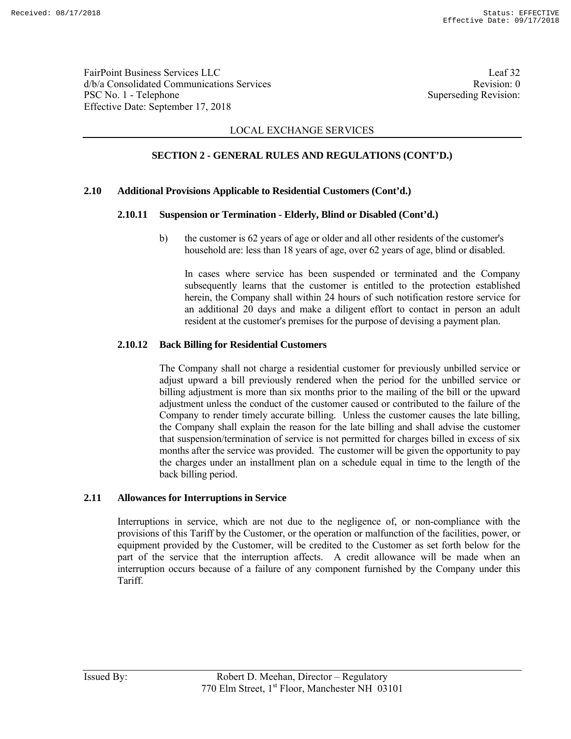FairPoint Business Services LLC Leaf 32 d/b/a Consolidated Communications Services and the service Revision: 0 PSC No. 1 - Telephone Superseding Revision: Effective Date: September 17, 2018

## LOCAL EXCHANGE SERVICES

## **SECTION 2 - GENERAL RULES AND REGULATIONS (CONT'D.)**

### **2.10 Additional Provisions Applicable to Residential Customers (Cont'd.)**

### **2.10.11 Suspension or Termination - Elderly, Blind or Disabled (Cont'd.)**

 b) the customer is 62 years of age or older and all other residents of the customer's household are: less than 18 years of age, over 62 years of age, blind or disabled.

 In cases where service has been suspended or terminated and the Company subsequently learns that the customer is entitled to the protection established herein, the Company shall within 24 hours of such notification restore service for an additional 20 days and make a diligent effort to contact in person an adult resident at the customer's premises for the purpose of devising a payment plan.

### **2.10.12 Back Billing for Residential Customers**

 The Company shall not charge a residential customer for previously unbilled service or adjust upward a bill previously rendered when the period for the unbilled service or billing adjustment is more than six months prior to the mailing of the bill or the upward adjustment unless the conduct of the customer caused or contributed to the failure of the Company to render timely accurate billing. Unless the customer causes the late billing, the Company shall explain the reason for the late billing and shall advise the customer that suspension/termination of service is not permitted for charges billed in excess of six months after the service was provided. The customer will be given the opportunity to pay the charges under an installment plan on a schedule equal in time to the length of the back billing period.

### **2.11 Allowances for Interruptions in Service**

 Interruptions in service, which are not due to the negligence of, or non-compliance with the provisions of this Tariff by the Customer, or the operation or malfunction of the facilities, power, or equipment provided by the Customer, will be credited to the Customer as set forth below for the part of the service that the interruption affects. A credit allowance will be made when an interruption occurs because of a failure of any component furnished by the Company under this Tariff.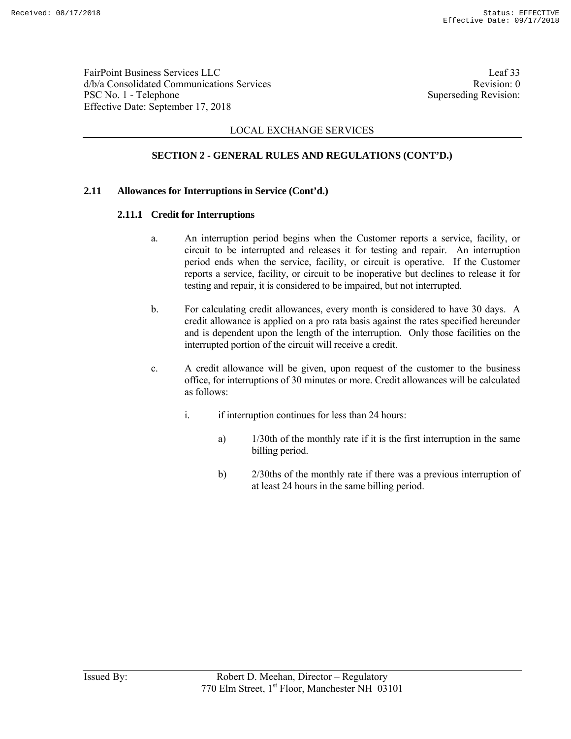FairPoint Business Services LLC Leaf 33 d/b/a Consolidated Communications Services and the vision of the Revision: 0 PSC No. 1 - Telephone Superseding Revision: Effective Date: September 17, 2018

## LOCAL EXCHANGE SERVICES

# **SECTION 2 - GENERAL RULES AND REGULATIONS (CONT'D.)**

### **2.11 Allowances for Interruptions in Service (Cont'd.)**

### **2.11.1 Credit for Interruptions**

- a. An interruption period begins when the Customer reports a service, facility, or circuit to be interrupted and releases it for testing and repair. An interruption period ends when the service, facility, or circuit is operative. If the Customer reports a service, facility, or circuit to be inoperative but declines to release it for testing and repair, it is considered to be impaired, but not interrupted.
- b. For calculating credit allowances, every month is considered to have 30 days. A credit allowance is applied on a pro rata basis against the rates specified hereunder and is dependent upon the length of the interruption. Only those facilities on the interrupted portion of the circuit will receive a credit.
- c. A credit allowance will be given, upon request of the customer to the business office, for interruptions of 30 minutes or more. Credit allowances will be calculated as follows:
	- i. if interruption continues for less than 24 hours:
		- a) 1/30th of the monthly rate if it is the first interruption in the same billing period.
		- b) 2/30ths of the monthly rate if there was a previous interruption of at least 24 hours in the same billing period.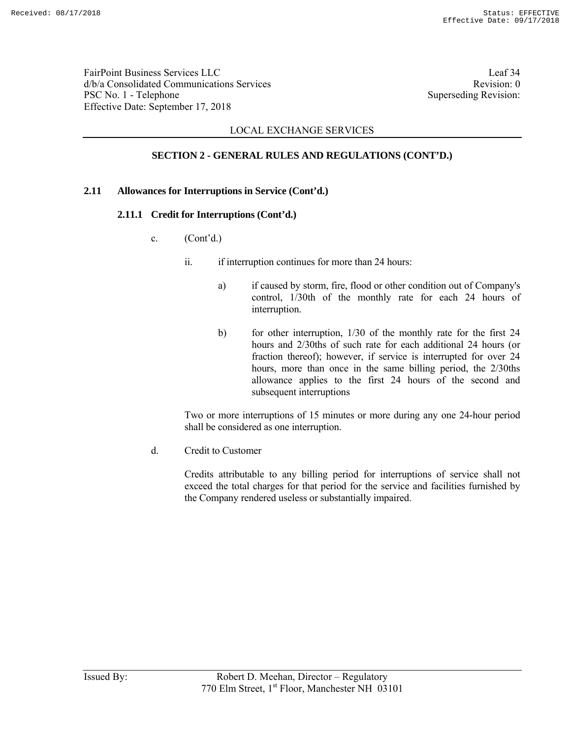FairPoint Business Services LLC Leaf 34 d/b/a Consolidated Communications Services and the service Revision: 0 PSC No. 1 - Telephone Superseding Revision: Effective Date: September 17, 2018

## LOCAL EXCHANGE SERVICES

# **SECTION 2 - GENERAL RULES AND REGULATIONS (CONT'D.)**

### **2.11 Allowances for Interruptions in Service (Cont'd.)**

### **2.11.1 Credit for Interruptions (Cont'd.)**

- c.  $(Cont<sup>2</sup>d.)$ 
	- ii. if interruption continues for more than 24 hours:
		- a) if caused by storm, fire, flood or other condition out of Company's control, 1/30th of the monthly rate for each 24 hours of interruption.
		- b) for other interruption, 1/30 of the monthly rate for the first 24 hours and 2/30ths of such rate for each additional 24 hours (or fraction thereof); however, if service is interrupted for over 24 hours, more than once in the same billing period, the 2/30ths allowance applies to the first 24 hours of the second and subsequent interruptions

 Two or more interruptions of 15 minutes or more during any one 24-hour period shall be considered as one interruption.

d. Credit to Customer

 Credits attributable to any billing period for interruptions of service shall not exceed the total charges for that period for the service and facilities furnished by the Company rendered useless or substantially impaired.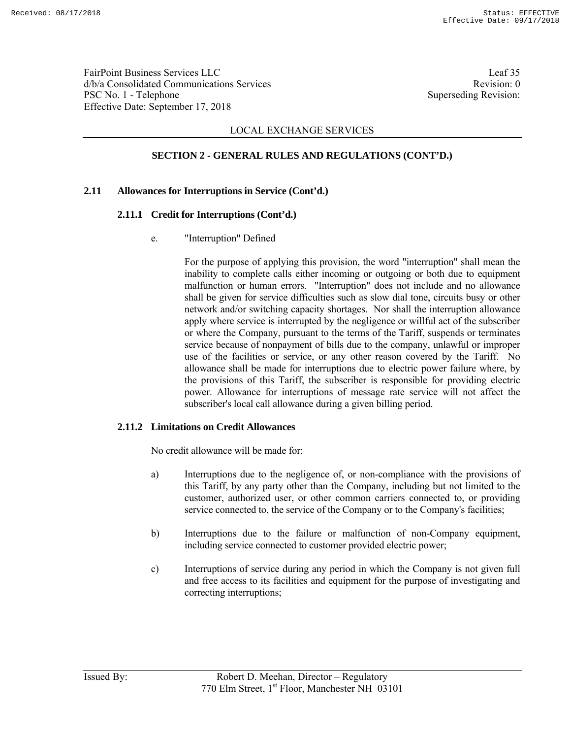FairPoint Business Services LLC Leaf 35 d/b/a Consolidated Communications Services and the services Revision: 0 PSC No. 1 - Telephone Superseding Revision: Effective Date: September 17, 2018

## LOCAL EXCHANGE SERVICES

# **SECTION 2 - GENERAL RULES AND REGULATIONS (CONT'D.)**

### **2.11 Allowances for Interruptions in Service (Cont'd.)**

### **2.11.1 Credit for Interruptions (Cont'd.)**

e. "Interruption" Defined

 For the purpose of applying this provision, the word "interruption" shall mean the inability to complete calls either incoming or outgoing or both due to equipment malfunction or human errors. "Interruption" does not include and no allowance shall be given for service difficulties such as slow dial tone, circuits busy or other network and/or switching capacity shortages. Nor shall the interruption allowance apply where service is interrupted by the negligence or willful act of the subscriber or where the Company, pursuant to the terms of the Tariff, suspends or terminates service because of nonpayment of bills due to the company, unlawful or improper use of the facilities or service, or any other reason covered by the Tariff. No allowance shall be made for interruptions due to electric power failure where, by the provisions of this Tariff, the subscriber is responsible for providing electric power. Allowance for interruptions of message rate service will not affect the subscriber's local call allowance during a given billing period.

### **2.11.2 Limitations on Credit Allowances**

No credit allowance will be made for:

- a) Interruptions due to the negligence of, or non-compliance with the provisions of this Tariff, by any party other than the Company, including but not limited to the customer, authorized user, or other common carriers connected to, or providing service connected to, the service of the Company or to the Company's facilities;
- b) Interruptions due to the failure or malfunction of non-Company equipment, including service connected to customer provided electric power;
- c) Interruptions of service during any period in which the Company is not given full and free access to its facilities and equipment for the purpose of investigating and correcting interruptions;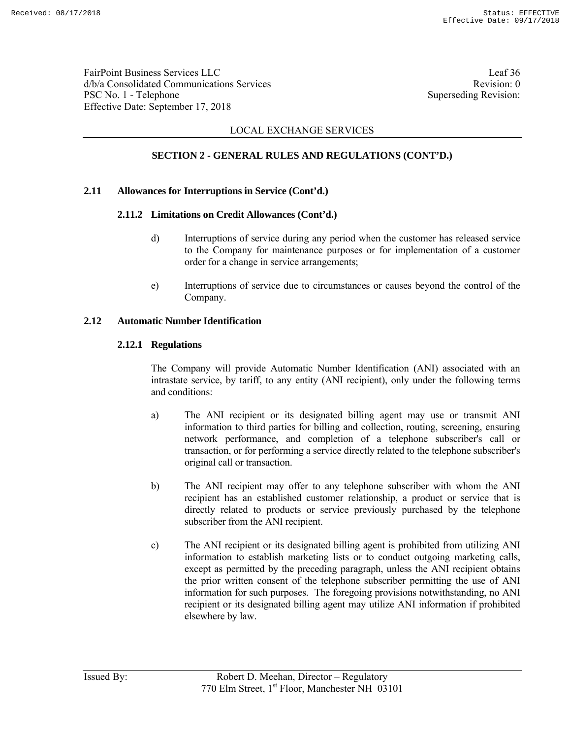FairPoint Business Services LLC Leaf 36 d/b/a Consolidated Communications Services and the service Revision: 0 PSC No. 1 - Telephone Superseding Revision: Effective Date: September 17, 2018

## LOCAL EXCHANGE SERVICES

# **SECTION 2 - GENERAL RULES AND REGULATIONS (CONT'D.)**

### **2.11 Allowances for Interruptions in Service (Cont'd.)**

### **2.11.2 Limitations on Credit Allowances (Cont'd.)**

- d) Interruptions of service during any period when the customer has released service to the Company for maintenance purposes or for implementation of a customer order for a change in service arrangements;
- e) Interruptions of service due to circumstances or causes beyond the control of the Company.

### **2.12 Automatic Number Identification**

### **2.12.1 Regulations**

 The Company will provide Automatic Number Identification (ANI) associated with an intrastate service, by tariff, to any entity (ANI recipient), only under the following terms and conditions:

- a) The ANI recipient or its designated billing agent may use or transmit ANI information to third parties for billing and collection, routing, screening, ensuring network performance, and completion of a telephone subscriber's call or transaction, or for performing a service directly related to the telephone subscriber's original call or transaction.
- b) The ANI recipient may offer to any telephone subscriber with whom the ANI recipient has an established customer relationship, a product or service that is directly related to products or service previously purchased by the telephone subscriber from the ANI recipient.
- c) The ANI recipient or its designated billing agent is prohibited from utilizing ANI information to establish marketing lists or to conduct outgoing marketing calls, except as permitted by the preceding paragraph, unless the ANI recipient obtains the prior written consent of the telephone subscriber permitting the use of ANI information for such purposes. The foregoing provisions notwithstanding, no ANI recipient or its designated billing agent may utilize ANI information if prohibited elsewhere by law.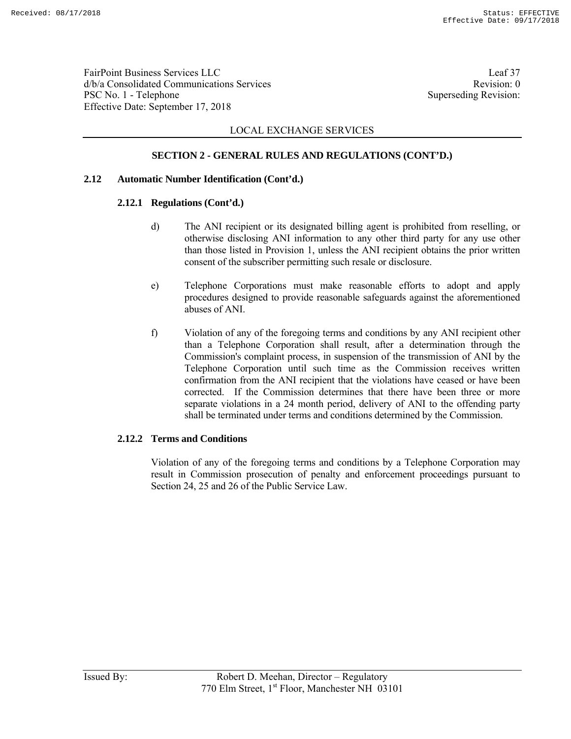FairPoint Business Services LLC Leaf 37 d/b/a Consolidated Communications Services and the service Revision: 0 PSC No. 1 - Telephone Superseding Revision: Effective Date: September 17, 2018

## LOCAL EXCHANGE SERVICES

## **SECTION 2 - GENERAL RULES AND REGULATIONS (CONT'D.)**

### **2.12 Automatic Number Identification (Cont'd.)**

### **2.12.1 Regulations (Cont'd.)**

- d) The ANI recipient or its designated billing agent is prohibited from reselling, or otherwise disclosing ANI information to any other third party for any use other than those listed in Provision 1, unless the ANI recipient obtains the prior written consent of the subscriber permitting such resale or disclosure.
- e) Telephone Corporations must make reasonable efforts to adopt and apply procedures designed to provide reasonable safeguards against the aforementioned abuses of ANI.
- f) Violation of any of the foregoing terms and conditions by any ANI recipient other than a Telephone Corporation shall result, after a determination through the Commission's complaint process, in suspension of the transmission of ANI by the Telephone Corporation until such time as the Commission receives written confirmation from the ANI recipient that the violations have ceased or have been corrected. If the Commission determines that there have been three or more separate violations in a 24 month period, delivery of ANI to the offending party shall be terminated under terms and conditions determined by the Commission.

### **2.12.2 Terms and Conditions**

 Violation of any of the foregoing terms and conditions by a Telephone Corporation may result in Commission prosecution of penalty and enforcement proceedings pursuant to Section 24, 25 and 26 of the Public Service Law.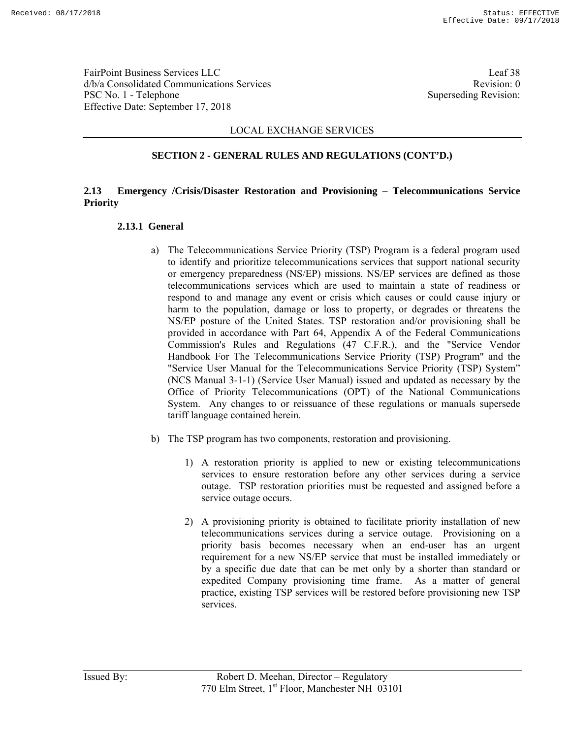FairPoint Business Services LLC Leaf 38 d/b/a Consolidated Communications Services and the service Revision: 0 PSC No. 1 - Telephone Superseding Revision: Effective Date: September 17, 2018

### LOCAL EXCHANGE SERVICES

### **SECTION 2 - GENERAL RULES AND REGULATIONS (CONT'D.)**

## **2.13 Emergency /Crisis/Disaster Restoration and Provisioning – Telecommunications Service Priority**

#### **2.13.1 General**

- a) The Telecommunications Service Priority (TSP) Program is a federal program used to identify and prioritize telecommunications services that support national security or emergency preparedness (NS/EP) missions. NS/EP services are defined as those telecommunications services which are used to maintain a state of readiness or respond to and manage any event or crisis which causes or could cause injury or harm to the population, damage or loss to property, or degrades or threatens the NS/EP posture of the United States. TSP restoration and/or provisioning shall be provided in accordance with Part 64, Appendix A of the Federal Communications Commission's Rules and Regulations (47 C.F.R.), and the "Service Vendor Handbook For The Telecommunications Service Priority (TSP) Program" and the "Service User Manual for the Telecommunications Service Priority (TSP) System" (NCS Manual 3-1-1) (Service User Manual) issued and updated as necessary by the Office of Priority Telecommunications (OPT) of the National Communications System. Any changes to or reissuance of these regulations or manuals supersede tariff language contained herein.
- b) The TSP program has two components, restoration and provisioning.
	- 1) A restoration priority is applied to new or existing telecommunications services to ensure restoration before any other services during a service outage. TSP restoration priorities must be requested and assigned before a service outage occurs.
	- 2) A provisioning priority is obtained to facilitate priority installation of new telecommunications services during a service outage. Provisioning on a priority basis becomes necessary when an end-user has an urgent requirement for a new NS/EP service that must be installed immediately or by a specific due date that can be met only by a shorter than standard or expedited Company provisioning time frame. As a matter of general practice, existing TSP services will be restored before provisioning new TSP services.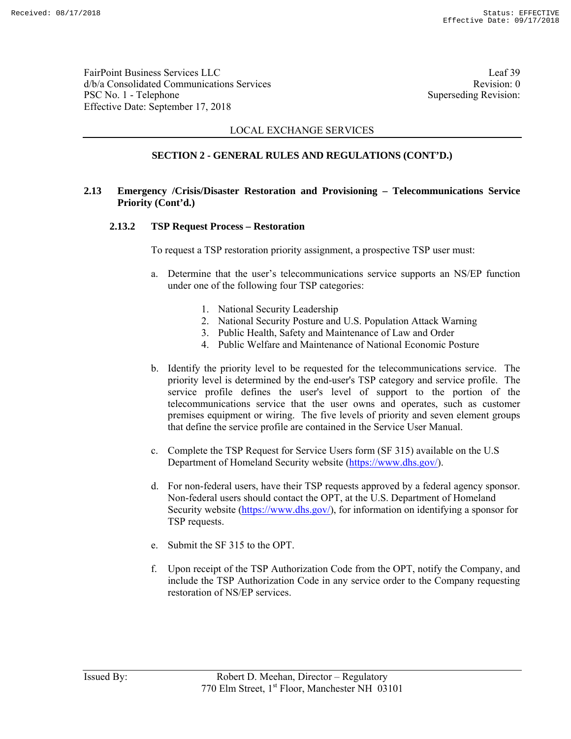FairPoint Business Services LLC Leaf 39 d/b/a Consolidated Communications Services and the service Revision: 0 PSC No. 1 - Telephone Superseding Revision: Effective Date: September 17, 2018

### LOCAL EXCHANGE SERVICES

## **SECTION 2 - GENERAL RULES AND REGULATIONS (CONT'D.)**

## **2.13 Emergency /Crisis/Disaster Restoration and Provisioning – Telecommunications Service Priority (Cont'd.)**

#### **2.13.2 TSP Request Process – Restoration**

To request a TSP restoration priority assignment, a prospective TSP user must:

- a. Determine that the user's telecommunications service supports an NS/EP function under one of the following four TSP categories:
	- 1. National Security Leadership
	- 2. National Security Posture and U.S. Population Attack Warning
	- 3. Public Health, Safety and Maintenance of Law and Order
	- 4. Public Welfare and Maintenance of National Economic Posture
- b. Identify the priority level to be requested for the telecommunications service. The priority level is determined by the end-user's TSP category and service profile. The service profile defines the user's level of support to the portion of the telecommunications service that the user owns and operates, such as customer premises equipment or wiring. The five levels of priority and seven element groups that define the service profile are contained in the Service User Manual.
- c. Complete the TSP Request for Service Users form (SF 315) available on the U.S Department of Homeland Security website (https://www.dhs.gov/).
- d. For non-federal users, have their TSP requests approved by a federal agency sponsor. Non-federal users should contact the OPT, at the U.S. Department of Homeland Security website (https://www.dhs.gov/), for information on identifying a sponsor for TSP requests.
- e. Submit the SF 315 to the OPT.
- f. Upon receipt of the TSP Authorization Code from the OPT, notify the Company, and include the TSP Authorization Code in any service order to the Company requesting restoration of NS/EP services.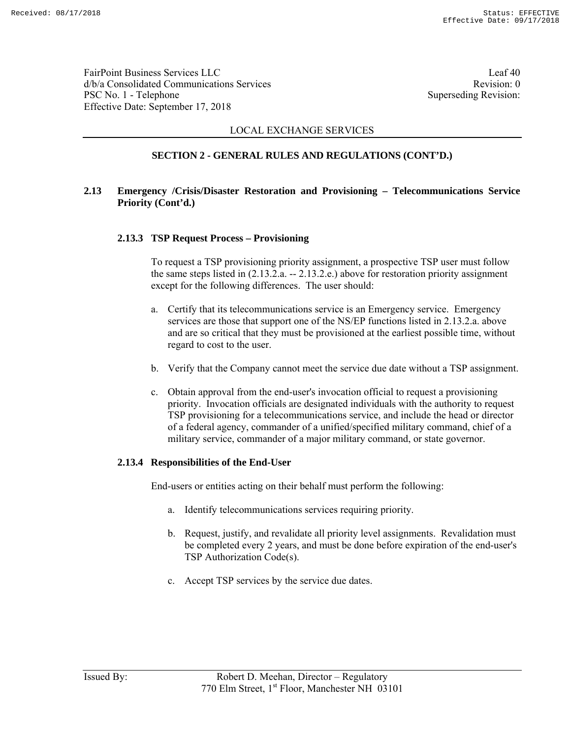FairPoint Business Services LLC Leaf 40 d/b/a Consolidated Communications Services and the service Revision: 0 PSC No. 1 - Telephone Superseding Revision: Effective Date: September 17, 2018

## LOCAL EXCHANGE SERVICES

# **SECTION 2 - GENERAL RULES AND REGULATIONS (CONT'D.)**

## **2.13 Emergency /Crisis/Disaster Restoration and Provisioning – Telecommunications Service Priority (Cont'd.)**

### **2.13.3 TSP Request Process – Provisioning**

To request a TSP provisioning priority assignment, a prospective TSP user must follow the same steps listed in  $(2.13.2.a. - 2.13.2.e.)$  above for restoration priority assignment except for the following differences. The user should:

- a. Certify that its telecommunications service is an Emergency service. Emergency services are those that support one of the NS/EP functions listed in 2.13.2.a. above and are so critical that they must be provisioned at the earliest possible time, without regard to cost to the user.
- b. Verify that the Company cannot meet the service due date without a TSP assignment.
- c. Obtain approval from the end-user's invocation official to request a provisioning priority. Invocation officials are designated individuals with the authority to request TSP provisioning for a telecommunications service, and include the head or director of a federal agency, commander of a unified/specified military command, chief of a military service, commander of a major military command, or state governor.

#### **2.13.4 Responsibilities of the End-User**

End-users or entities acting on their behalf must perform the following:

- a. Identify telecommunications services requiring priority.
- b. Request, justify, and revalidate all priority level assignments. Revalidation must be completed every 2 years, and must be done before expiration of the end-user's TSP Authorization Code(s).
- c. Accept TSP services by the service due dates.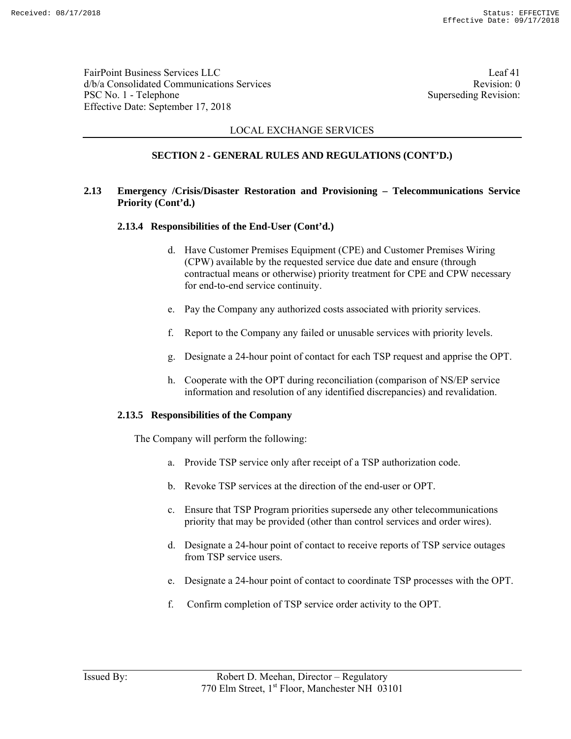FairPoint Business Services LLC Leaf 41 d/b/a Consolidated Communications Services and the services Revision: 0 PSC No. 1 - Telephone Superseding Revision: Effective Date: September 17, 2018

## LOCAL EXCHANGE SERVICES

# **SECTION 2 - GENERAL RULES AND REGULATIONS (CONT'D.)**

## **2.13 Emergency /Crisis/Disaster Restoration and Provisioning – Telecommunications Service Priority (Cont'd.)**

### **2.13.4 Responsibilities of the End-User (Cont'd.)**

- d. Have Customer Premises Equipment (CPE) and Customer Premises Wiring (CPW) available by the requested service due date and ensure (through contractual means or otherwise) priority treatment for CPE and CPW necessary for end-to-end service continuity.
- e. Pay the Company any authorized costs associated with priority services.
- f. Report to the Company any failed or unusable services with priority levels.
- g. Designate a 24-hour point of contact for each TSP request and apprise the OPT.
- h. Cooperate with the OPT during reconciliation (comparison of NS/EP service information and resolution of any identified discrepancies) and revalidation.

#### **2.13.5 Responsibilities of the Company**

The Company will perform the following:

- a. Provide TSP service only after receipt of a TSP authorization code.
- b. Revoke TSP services at the direction of the end-user or OPT.
- c. Ensure that TSP Program priorities supersede any other telecommunications priority that may be provided (other than control services and order wires).
- d. Designate a 24-hour point of contact to receive reports of TSP service outages from TSP service users.
- e. Designate a 24-hour point of contact to coordinate TSP processes with the OPT.
- f. Confirm completion of TSP service order activity to the OPT.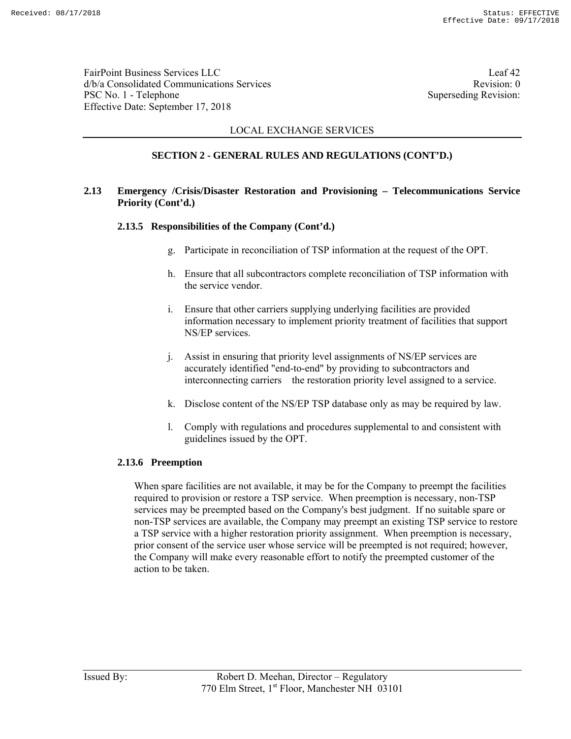FairPoint Business Services LLC Leaf 42 d/b/a Consolidated Communications Services and the service Revision: 0 PSC No. 1 - Telephone Superseding Revision: Effective Date: September 17, 2018

## LOCAL EXCHANGE SERVICES

# **SECTION 2 - GENERAL RULES AND REGULATIONS (CONT'D.)**

## **2.13 Emergency /Crisis/Disaster Restoration and Provisioning – Telecommunications Service Priority (Cont'd.)**

### **2.13.5 Responsibilities of the Company (Cont'd.)**

- g. Participate in reconciliation of TSP information at the request of the OPT.
- h. Ensure that all subcontractors complete reconciliation of TSP information with the service vendor.
- i. Ensure that other carriers supplying underlying facilities are provided information necessary to implement priority treatment of facilities that support NS/EP services.
- j. Assist in ensuring that priority level assignments of NS/EP services are accurately identified "end-to-end" by providing to subcontractors and interconnecting carriers the restoration priority level assigned to a service.
- k. Disclose content of the NS/EP TSP database only as may be required by law.
- l. Comply with regulations and procedures supplemental to and consistent with guidelines issued by the OPT.

#### **2.13.6 Preemption**

When spare facilities are not available, it may be for the Company to preempt the facilities required to provision or restore a TSP service. When preemption is necessary, non-TSP services may be preempted based on the Company's best judgment. If no suitable spare or non-TSP services are available, the Company may preempt an existing TSP service to restore a TSP service with a higher restoration priority assignment. When preemption is necessary, prior consent of the service user whose service will be preempted is not required; however, the Company will make every reasonable effort to notify the preempted customer of the action to be taken.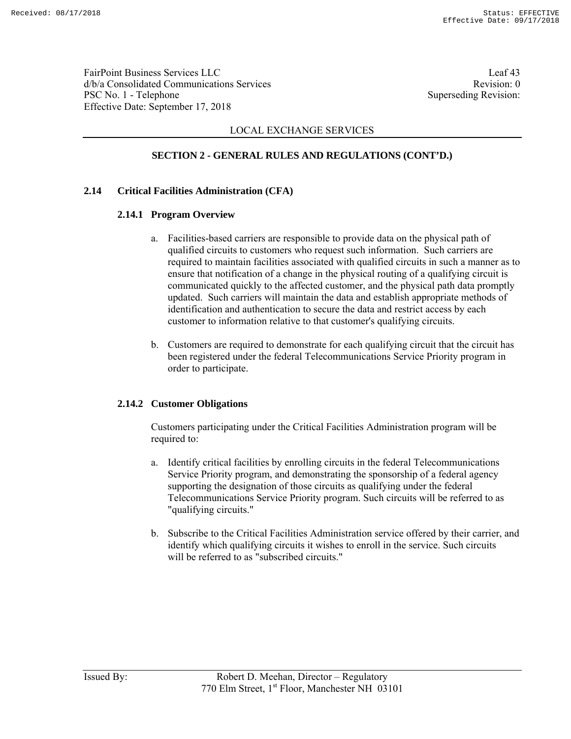FairPoint Business Services LLC Leaf 43 d/b/a Consolidated Communications Services and the service Revision: 0 PSC No. 1 - Telephone Superseding Revision: Effective Date: September 17, 2018

## LOCAL EXCHANGE SERVICES

# **SECTION 2 - GENERAL RULES AND REGULATIONS (CONT'D.)**

### **2.14 Critical Facilities Administration (CFA)**

### **2.14.1 Program Overview**

- a. Facilities-based carriers are responsible to provide data on the physical path of qualified circuits to customers who request such information. Such carriers are required to maintain facilities associated with qualified circuits in such a manner as to ensure that notification of a change in the physical routing of a qualifying circuit is communicated quickly to the affected customer, and the physical path data promptly updated. Such carriers will maintain the data and establish appropriate methods of identification and authentication to secure the data and restrict access by each customer to information relative to that customer's qualifying circuits.
- b. Customers are required to demonstrate for each qualifying circuit that the circuit has been registered under the federal Telecommunications Service Priority program in order to participate.

### **2.14.2 Customer Obligations**

Customers participating under the Critical Facilities Administration program will be required to:

- a. Identify critical facilities by enrolling circuits in the federal Telecommunications Service Priority program, and demonstrating the sponsorship of a federal agency supporting the designation of those circuits as qualifying under the federal Telecommunications Service Priority program. Such circuits will be referred to as "qualifying circuits."
- b. Subscribe to the Critical Facilities Administration service offered by their carrier, and identify which qualifying circuits it wishes to enroll in the service. Such circuits will be referred to as "subscribed circuits."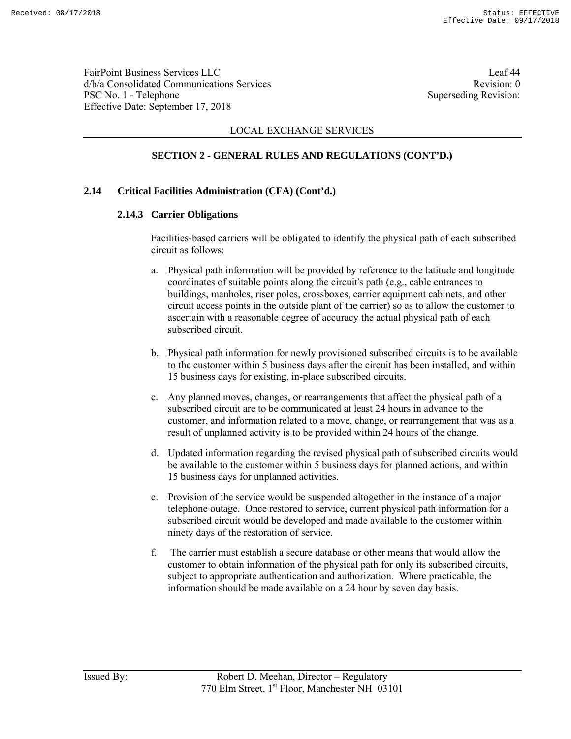FairPoint Business Services LLC Leaf 44 d/b/a Consolidated Communications Services and the service Revision: 0 PSC No. 1 - Telephone Superseding Revision: Effective Date: September 17, 2018

### LOCAL EXCHANGE SERVICES

# **SECTION 2 - GENERAL RULES AND REGULATIONS (CONT'D.)**

### **2.14 Critical Facilities Administration (CFA) (Cont'd.)**

### **2.14.3 Carrier Obligations**

Facilities-based carriers will be obligated to identify the physical path of each subscribed circuit as follows:

- a. Physical path information will be provided by reference to the latitude and longitude coordinates of suitable points along the circuit's path (e.g., cable entrances to buildings, manholes, riser poles, crossboxes, carrier equipment cabinets, and other circuit access points in the outside plant of the carrier) so as to allow the customer to ascertain with a reasonable degree of accuracy the actual physical path of each subscribed circuit.
- b. Physical path information for newly provisioned subscribed circuits is to be available to the customer within 5 business days after the circuit has been installed, and within 15 business days for existing, in-place subscribed circuits.
- c. Any planned moves, changes, or rearrangements that affect the physical path of a subscribed circuit are to be communicated at least 24 hours in advance to the customer, and information related to a move, change, or rearrangement that was as a result of unplanned activity is to be provided within 24 hours of the change.
- d. Updated information regarding the revised physical path of subscribed circuits would be available to the customer within 5 business days for planned actions, and within 15 business days for unplanned activities.
- e. Provision of the service would be suspended altogether in the instance of a major telephone outage. Once restored to service, current physical path information for a subscribed circuit would be developed and made available to the customer within ninety days of the restoration of service.
- f. The carrier must establish a secure database or other means that would allow the customer to obtain information of the physical path for only its subscribed circuits, subject to appropriate authentication and authorization. Where practicable, the information should be made available on a 24 hour by seven day basis.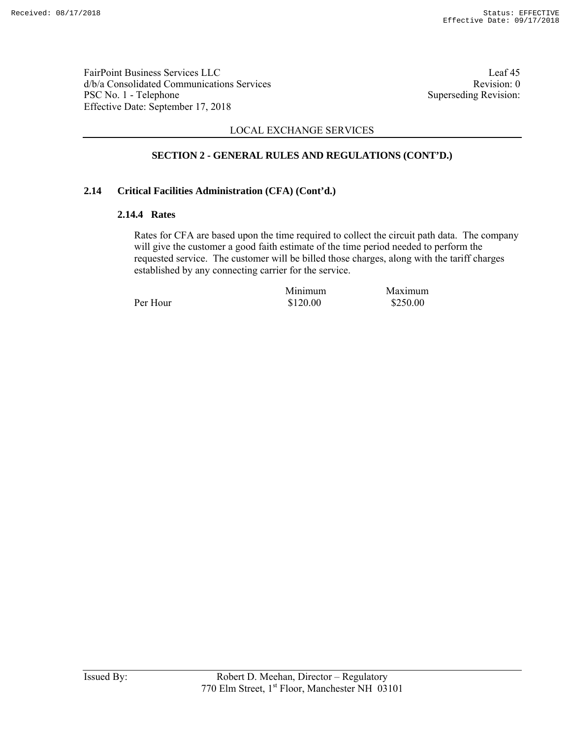FairPoint Business Services LLC Leaf 45 d/b/a Consolidated Communications Services Revision: 0 PSC No. 1 - Telephone Superseding Revision: Effective Date: September 17, 2018

## LOCAL EXCHANGE SERVICES

# **SECTION 2 - GENERAL RULES AND REGULATIONS (CONT'D.)**

### **2.14 Critical Facilities Administration (CFA) (Cont'd.)**

### **2.14.4 Rates**

Rates for CFA are based upon the time required to collect the circuit path data. The company will give the customer a good faith estimate of the time period needed to perform the requested service. The customer will be billed those charges, along with the tariff charges established by any connecting carrier for the service.

Per Hour \$120.00 \$250.00

Minimum Maximum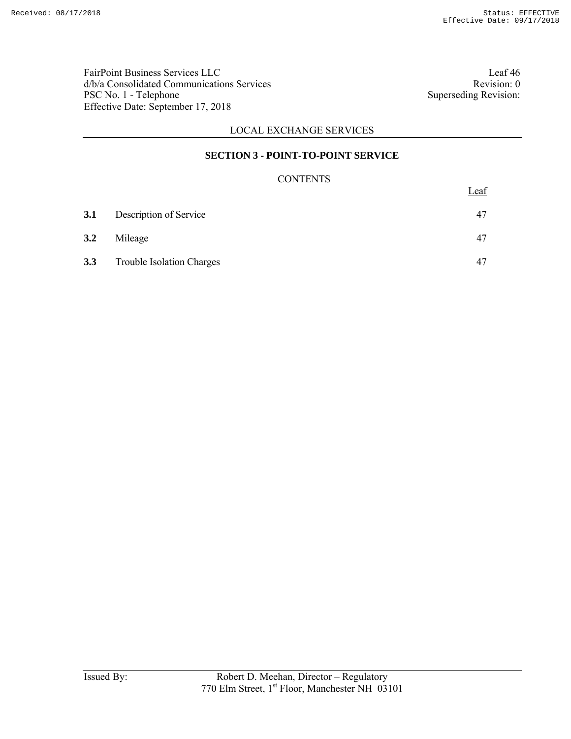FairPoint Business Services LLC Leaf 46 d/b/a Consolidated Communications Services Revision: 0 PSC No. 1 - Telephone Superseding Revision: Effective Date: September 17, 2018

## LOCAL EXCHANGE SERVICES

## **SECTION 3 - POINT-TO-POINT SERVICE**

## **CONTENTS**

|     |                                  | Leaf |
|-----|----------------------------------|------|
| 3.1 | Description of Service           | 47   |
| 3.2 | Mileage                          | 47   |
| 3.3 | <b>Trouble Isolation Charges</b> | 47   |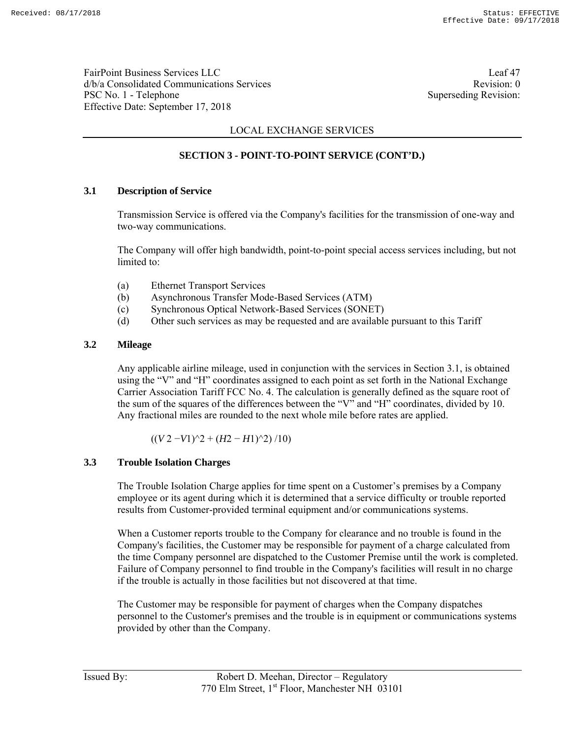FairPoint Business Services LLC Leaf 47 d/b/a Consolidated Communications Services and the service Revision: 0 PSC No. 1 - Telephone Superseding Revision: Effective Date: September 17, 2018

## LOCAL EXCHANGE SERVICES

# **SECTION 3 - POINT-TO-POINT SERVICE (CONT'D.)**

### **3.1 Description of Service**

Transmission Service is offered via the Company's facilities for the transmission of one-way and two-way communications.

The Company will offer high bandwidth, point-to-point special access services including, but not limited to:

- (a) Ethernet Transport Services
- (b) Asynchronous Transfer Mode-Based Services (ATM)
- (c) Synchronous Optical Network-Based Services (SONET)
- (d) Other such services as may be requested and are available pursuant to this Tariff

### **3.2 Mileage**

Any applicable airline mileage, used in conjunction with the services in Section 3.1, is obtained using the "V" and "H" coordinates assigned to each point as set forth in the National Exchange Carrier Association Tariff FCC No. 4. The calculation is generally defined as the square root of the sum of the squares of the differences between the "V" and "H" coordinates, divided by 10. Any fractional miles are rounded to the next whole mile before rates are applied.

 $((V 2 - V1)^2 + (H2 - H1)^2) /10$ 

#### **3.3 Trouble Isolation Charges**

The Trouble Isolation Charge applies for time spent on a Customer's premises by a Company employee or its agent during which it is determined that a service difficulty or trouble reported results from Customer-provided terminal equipment and/or communications systems.

When a Customer reports trouble to the Company for clearance and no trouble is found in the Company's facilities, the Customer may be responsible for payment of a charge calculated from the time Company personnel are dispatched to the Customer Premise until the work is completed. Failure of Company personnel to find trouble in the Company's facilities will result in no charge if the trouble is actually in those facilities but not discovered at that time.

The Customer may be responsible for payment of charges when the Company dispatches personnel to the Customer's premises and the trouble is in equipment or communications systems provided by other than the Company.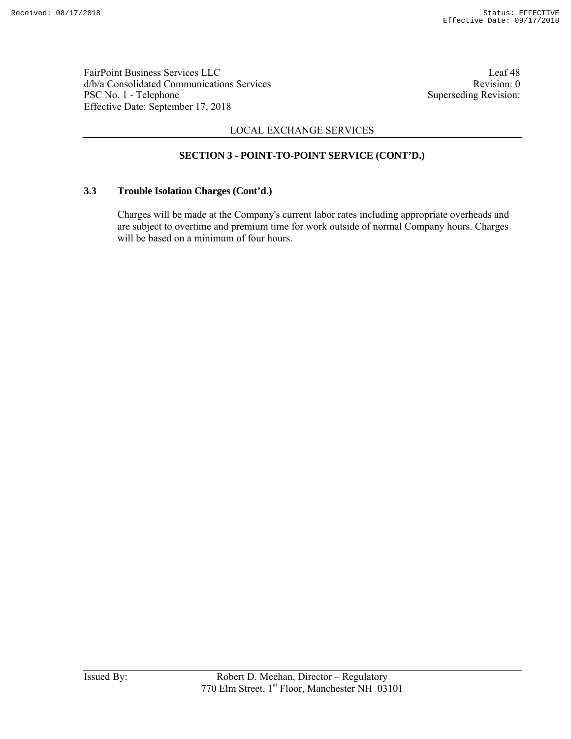FairPoint Business Services LLC Leaf 48 d/b/a Consolidated Communications Services and the vision of the Revision: 0 PSC No. 1 - Telephone Superseding Revision: Effective Date: September 17, 2018

# LOCAL EXCHANGE SERVICES

## **SECTION 3 - POINT-TO-POINT SERVICE (CONT'D.)**

### **3.3 Trouble Isolation Charges (Cont'd.)**

Charges will be made at the Company's current labor rates including appropriate overheads and are subject to overtime and premium time for work outside of normal Company hours. Charges will be based on a minimum of four hours.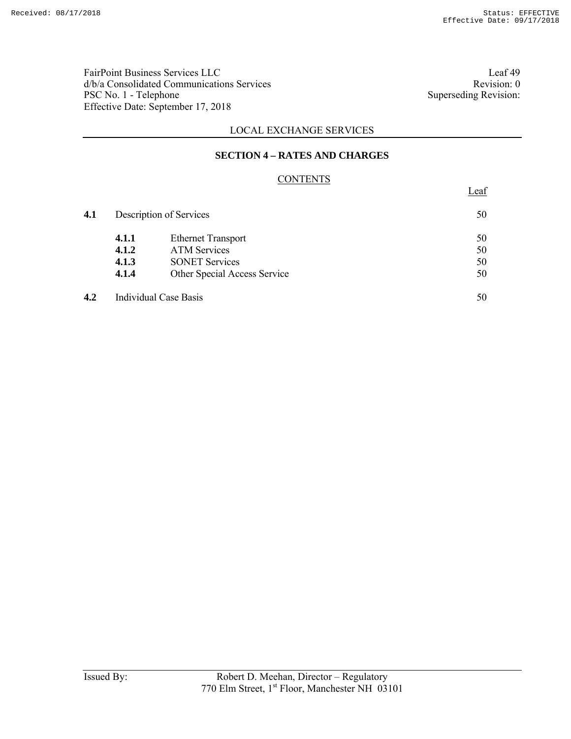FairPoint Business Services LLC<br>  $d/b/a$  Consolidated Communications Services<br>
Revision: 0 d/b/a Consolidated Communications Services<br>
PSC No. 1 - Telephone Superseding Revision: 0<br>
Superseding Revision: PSC No. 1 - Telephone Effective Date: September 17, 2018

Leaf

## LOCAL EXCHANGE SERVICES

### **SECTION 4 – RATES AND CHARGES**

## **CONTENTS**

| 4.1 | Description of Services |                              | 50 |  |
|-----|-------------------------|------------------------------|----|--|
|     | 4.1.1                   | <b>Ethernet Transport</b>    | 50 |  |
|     | 4.1.2                   | <b>ATM Services</b>          | 50 |  |
|     | 4.1.3                   | <b>SONET Services</b>        | 50 |  |
|     | 4.1.4                   | Other Special Access Service | 50 |  |
| 4.2 |                         | Individual Case Basis        | 50 |  |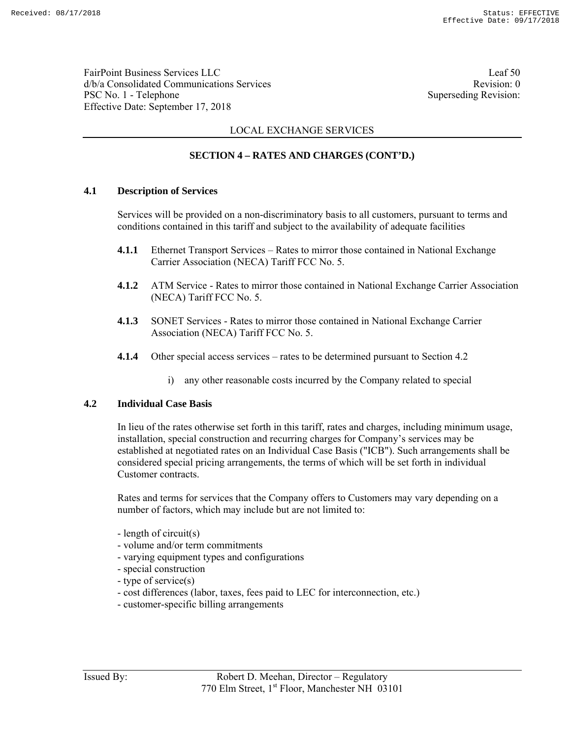FairPoint Business Services LLC Leaf 50 d/b/a Consolidated Communications Services and the vision of the Revision: 0 PSC No. 1 - Telephone Superseding Revision: Effective Date: September 17, 2018

## LOCAL EXCHANGE SERVICES

## **SECTION 4 – RATES AND CHARGES (CONT'D.)**

### **4.1 Description of Services**

Services will be provided on a non-discriminatory basis to all customers, pursuant to terms and conditions contained in this tariff and subject to the availability of adequate facilities

- **4.1.1** Ethernet Transport Services Rates to mirror those contained in National Exchange Carrier Association (NECA) Tariff FCC No. 5.
- **4.1.2** ATM Service Rates to mirror those contained in National Exchange Carrier Association (NECA) Tariff FCC No. 5.
- **4.1.3** SONET Services Rates to mirror those contained in National Exchange Carrier Association (NECA) Tariff FCC No. 5.
- **4.1.4** Other special access services rates to be determined pursuant to Section 4.2
	- i) any other reasonable costs incurred by the Company related to special

#### **4.2 Individual Case Basis**

In lieu of the rates otherwise set forth in this tariff, rates and charges, including minimum usage, installation, special construction and recurring charges for Company's services may be established at negotiated rates on an Individual Case Basis ("ICB"). Such arrangements shall be considered special pricing arrangements, the terms of which will be set forth in individual Customer contracts.

Rates and terms for services that the Company offers to Customers may vary depending on a number of factors, which may include but are not limited to:

- length of circuit(s)
- volume and/or term commitments
- varying equipment types and configurations
- special construction
- type of service(s)
- cost differences (labor, taxes, fees paid to LEC for interconnection, etc.)
- customer-specific billing arrangements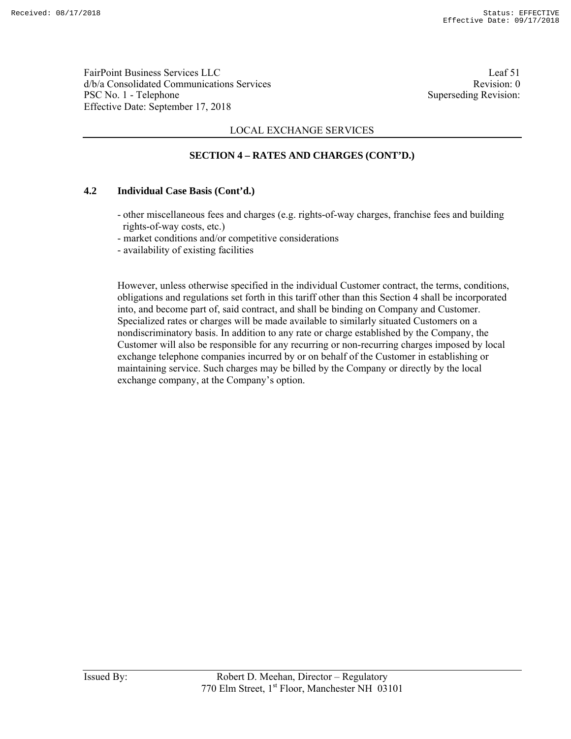FairPoint Business Services LLC Leaf 51 d/b/a Consolidated Communications Services and the service Revision: 0 PSC No. 1 - Telephone Superseding Revision: Effective Date: September 17, 2018

## LOCAL EXCHANGE SERVICES

## **SECTION 4 – RATES AND CHARGES (CONT'D.)**

### **4.2 Individual Case Basis (Cont'd.)**

- other miscellaneous fees and charges (e.g. rights-of-way charges, franchise fees and building rights-of-way costs, etc.)
- market conditions and/or competitive considerations
- availability of existing facilities

However, unless otherwise specified in the individual Customer contract, the terms, conditions, obligations and regulations set forth in this tariff other than this Section 4 shall be incorporated into, and become part of, said contract, and shall be binding on Company and Customer. Specialized rates or charges will be made available to similarly situated Customers on a nondiscriminatory basis. In addition to any rate or charge established by the Company, the Customer will also be responsible for any recurring or non-recurring charges imposed by local exchange telephone companies incurred by or on behalf of the Customer in establishing or maintaining service. Such charges may be billed by the Company or directly by the local exchange company, at the Company's option.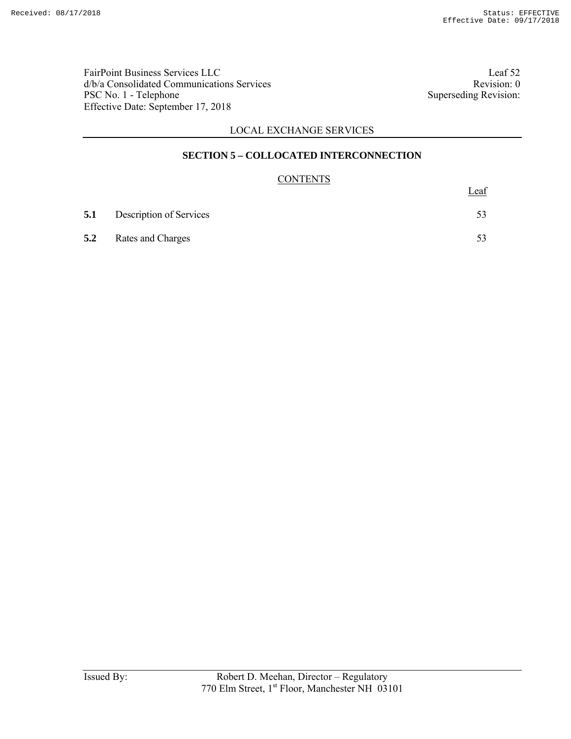FairPoint Business Services LLC<br>  $d/b/a$  Consolidated Communications Services<br>
Revision: 0 d/b/a Consolidated Communications Services<br>
PSC No. 1 - Telephone Superseding Revision: 0<br>
Superseding Revision: PSC No. 1 - Telephone Effective Date: September 17, 2018

# LOCAL EXCHANGE SERVICES

### **SECTION 5 – COLLOCATED INTERCONNECTION**

### **CONTENTS**

|     |                                    | Leaf |
|-----|------------------------------------|------|
|     | <b>5.1</b> Description of Services |      |
| 5.2 | <b>Rates and Charges</b>           |      |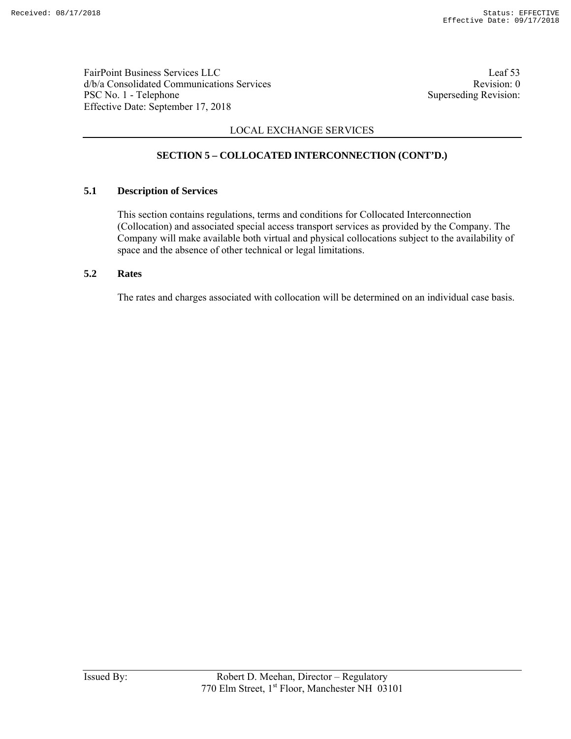FairPoint Business Services LLC<br>
d/b/a Consolidated Communications Services<br>
Revision: 0  $d/b/a$  Consolidated Communications Services PSC No. 1 - Telephone Superseding Revision: Effective Date: September 17, 2018

# LOCAL EXCHANGE SERVICES

# **SECTION 5 – COLLOCATED INTERCONNECTION (CONT'D.)**

### **5.1 Description of Services**

This section contains regulations, terms and conditions for Collocated Interconnection (Collocation) and associated special access transport services as provided by the Company. The Company will make available both virtual and physical collocations subject to the availability of space and the absence of other technical or legal limitations.

### **5.2 Rates**

The rates and charges associated with collocation will be determined on an individual case basis.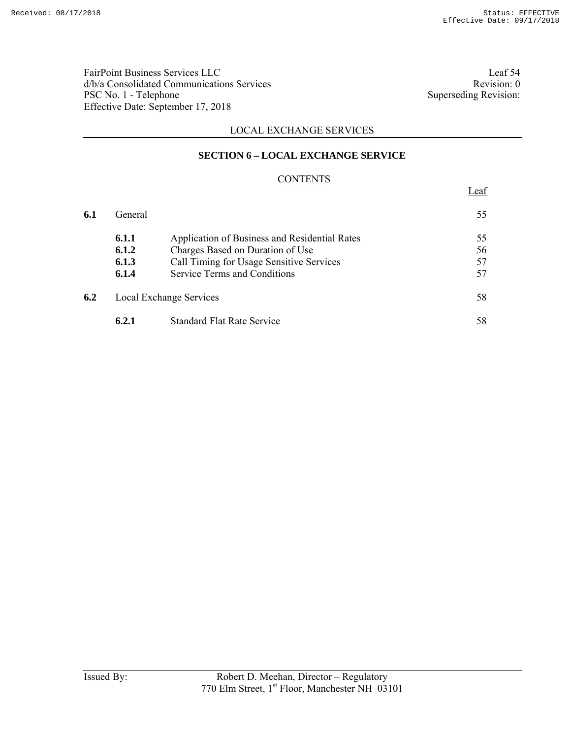FairPoint Business Services LLC Leaf 54 d/b/a Consolidated Communications Services<br>
PSC No. 1 - Telephone Superseding Revision: 0<br>
Superseding Revision: PSC No. 1 - Telephone Effective Date: September 17, 2018

Leaf

## LOCAL EXCHANGE SERVICES

### **SECTION 6 – LOCAL EXCHANGE SERVICE**

### **CONTENTS**

| 6.1 | General |                                               | 55 |
|-----|---------|-----------------------------------------------|----|
|     | 6.1.1   | Application of Business and Residential Rates | 55 |
|     | 6.1.2   | Charges Based on Duration of Use              | 56 |
|     | 6.1.3   | Call Timing for Usage Sensitive Services      | 57 |
|     | 6.1.4   | <b>Service Terms and Conditions</b>           | 57 |
| 6.2 |         | <b>Local Exchange Services</b>                | 58 |
|     | 6.2.1   | <b>Standard Flat Rate Service</b>             | 58 |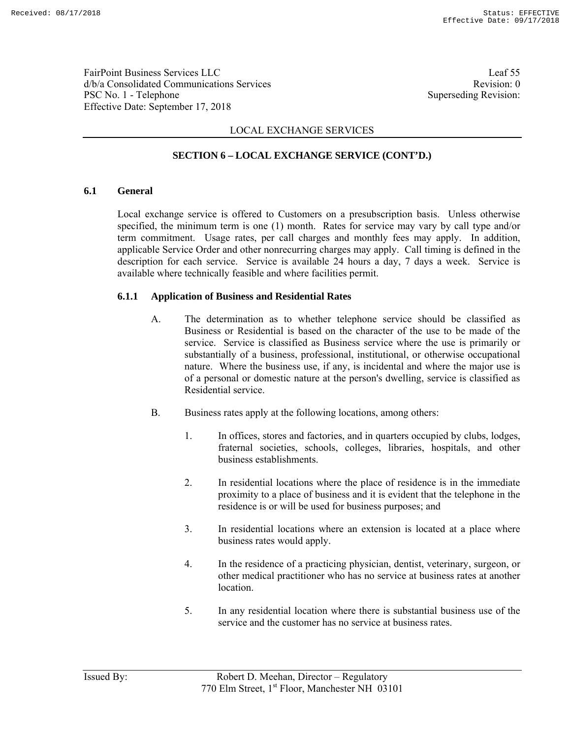FairPoint Business Services LLC Leaf 55 d/b/a Consolidated Communications Services and the service Revision: 0 PSC No. 1 - Telephone Superseding Revision: Effective Date: September 17, 2018

# LOCAL EXCHANGE SERVICES

## **SECTION 6 – LOCAL EXCHANGE SERVICE (CONT'D.)**

### **6.1 General**

Local exchange service is offered to Customers on a presubscription basis. Unless otherwise specified, the minimum term is one (1) month. Rates for service may vary by call type and/or term commitment. Usage rates, per call charges and monthly fees may apply. In addition, applicable Service Order and other nonrecurring charges may apply. Call timing is defined in the description for each service. Service is available 24 hours a day, 7 days a week. Service is available where technically feasible and where facilities permit.

### **6.1.1 Application of Business and Residential Rates**

- A. The determination as to whether telephone service should be classified as Business or Residential is based on the character of the use to be made of the service. Service is classified as Business service where the use is primarily or substantially of a business, professional, institutional, or otherwise occupational nature. Where the business use, if any, is incidental and where the major use is of a personal or domestic nature at the person's dwelling, service is classified as Residential service.
- B. Business rates apply at the following locations, among others:
	- 1. In offices, stores and factories, and in quarters occupied by clubs, lodges, fraternal societies, schools, colleges, libraries, hospitals, and other business establishments.
	- 2. In residential locations where the place of residence is in the immediate proximity to a place of business and it is evident that the telephone in the residence is or will be used for business purposes; and
	- 3. In residential locations where an extension is located at a place where business rates would apply.
	- 4. In the residence of a practicing physician, dentist, veterinary, surgeon, or other medical practitioner who has no service at business rates at another location.
	- 5. In any residential location where there is substantial business use of the service and the customer has no service at business rates.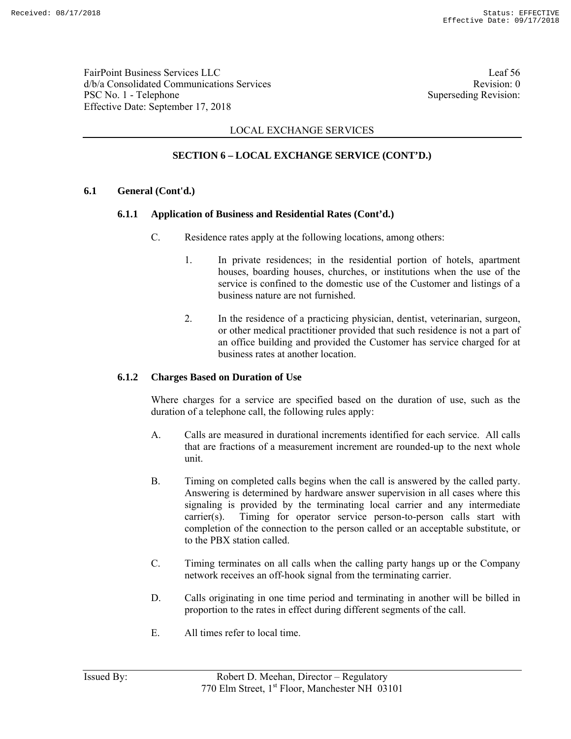FairPoint Business Services LLC Leaf 56 d/b/a Consolidated Communications Services and the consolidated Communications Services PSC No. 1 - Telephone Superseding Revision: Effective Date: September 17, 2018

## LOCAL EXCHANGE SERVICES

# **SECTION 6 – LOCAL EXCHANGE SERVICE (CONT'D.)**

### **6.1 General (Cont'd.)**

### **6.1.1 Application of Business and Residential Rates (Cont'd.)**

- C. Residence rates apply at the following locations, among others:
	- 1. In private residences; in the residential portion of hotels, apartment houses, boarding houses, churches, or institutions when the use of the service is confined to the domestic use of the Customer and listings of a business nature are not furnished.
	- 2. In the residence of a practicing physician, dentist, veterinarian, surgeon, or other medical practitioner provided that such residence is not a part of an office building and provided the Customer has service charged for at business rates at another location.

### **6.1.2 Charges Based on Duration of Use**

Where charges for a service are specified based on the duration of use, such as the duration of a telephone call, the following rules apply:

- A. Calls are measured in durational increments identified for each service. All calls that are fractions of a measurement increment are rounded-up to the next whole unit.
- B. Timing on completed calls begins when the call is answered by the called party. Answering is determined by hardware answer supervision in all cases where this signaling is provided by the terminating local carrier and any intermediate carrier(s). Timing for operator service person-to-person calls start with completion of the connection to the person called or an acceptable substitute, or to the PBX station called.
- C. Timing terminates on all calls when the calling party hangs up or the Company network receives an off-hook signal from the terminating carrier.
- D. Calls originating in one time period and terminating in another will be billed in proportion to the rates in effect during different segments of the call.
- E. All times refer to local time.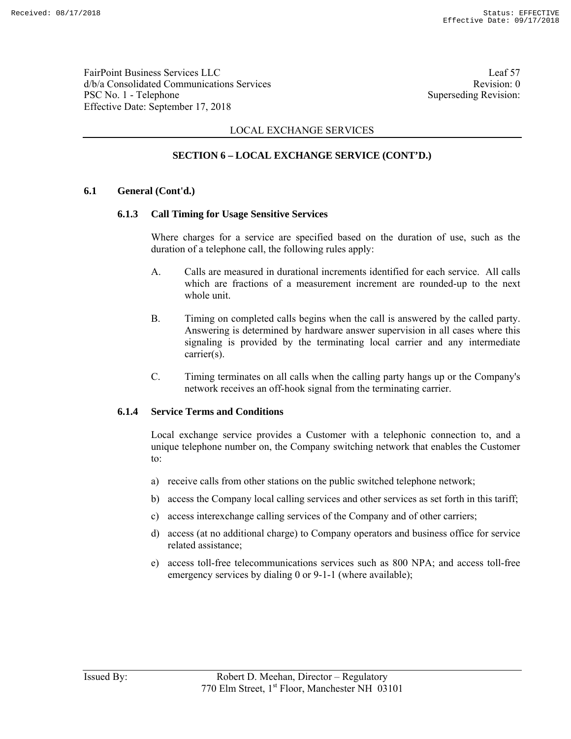FairPoint Business Services LLC Leaf 57 d/b/a Consolidated Communications Services and the services Revision: 0 PSC No. 1 - Telephone Superseding Revision: Effective Date: September 17, 2018

## LOCAL EXCHANGE SERVICES

# **SECTION 6 – LOCAL EXCHANGE SERVICE (CONT'D.)**

### **6.1 General (Cont'd.)**

### **6.1.3 Call Timing for Usage Sensitive Services**

Where charges for a service are specified based on the duration of use, such as the duration of a telephone call, the following rules apply:

- A. Calls are measured in durational increments identified for each service. All calls which are fractions of a measurement increment are rounded-up to the next whole unit.
- B. Timing on completed calls begins when the call is answered by the called party. Answering is determined by hardware answer supervision in all cases where this signaling is provided by the terminating local carrier and any intermediate carrier(s).
- C. Timing terminates on all calls when the calling party hangs up or the Company's network receives an off-hook signal from the terminating carrier.

#### **6.1.4 Service Terms and Conditions**

Local exchange service provides a Customer with a telephonic connection to, and a unique telephone number on, the Company switching network that enables the Customer to:

- a) receive calls from other stations on the public switched telephone network;
- b) access the Company local calling services and other services as set forth in this tariff;
- c) access interexchange calling services of the Company and of other carriers;
- d) access (at no additional charge) to Company operators and business office for service related assistance;
- e) access toll-free telecommunications services such as 800 NPA; and access toll-free emergency services by dialing 0 or 9-1-1 (where available);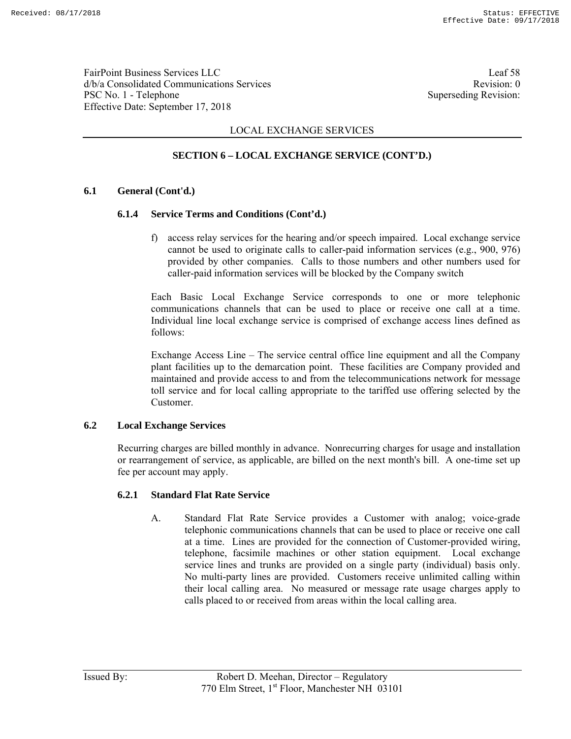FairPoint Business Services LLC Leaf 58 d/b/a Consolidated Communications Services and the service Revision: 0 PSC No. 1 - Telephone Superseding Revision: Effective Date: September 17, 2018

## LOCAL EXCHANGE SERVICES

## **SECTION 6 – LOCAL EXCHANGE SERVICE (CONT'D.)**

### **6.1 General (Cont'd.)**

### **6.1.4 Service Terms and Conditions (Cont'd.)**

 f) access relay services for the hearing and/or speech impaired. Local exchange service cannot be used to originate calls to caller-paid information services (e.g., 900, 976) provided by other companies. Calls to those numbers and other numbers used for caller-paid information services will be blocked by the Company switch

Each Basic Local Exchange Service corresponds to one or more telephonic communications channels that can be used to place or receive one call at a time. Individual line local exchange service is comprised of exchange access lines defined as follows:

Exchange Access Line – The service central office line equipment and all the Company plant facilities up to the demarcation point. These facilities are Company provided and maintained and provide access to and from the telecommunications network for message toll service and for local calling appropriate to the tariffed use offering selected by the Customer.

#### **6.2 Local Exchange Services**

Recurring charges are billed monthly in advance. Nonrecurring charges for usage and installation or rearrangement of service, as applicable, are billed on the next month's bill. A one-time set up fee per account may apply.

#### **6.2.1 Standard Flat Rate Service**

A. Standard Flat Rate Service provides a Customer with analog; voice-grade telephonic communications channels that can be used to place or receive one call at a time. Lines are provided for the connection of Customer-provided wiring, telephone, facsimile machines or other station equipment. Local exchange service lines and trunks are provided on a single party (individual) basis only. No multi-party lines are provided. Customers receive unlimited calling within their local calling area. No measured or message rate usage charges apply to calls placed to or received from areas within the local calling area.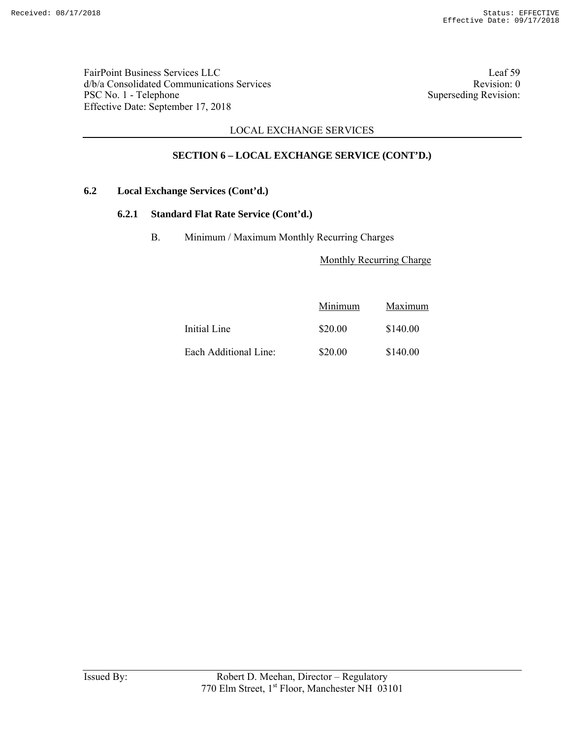FairPoint Business Services LLC Leaf 59 d/b/a Consolidated Communications Services<br>
PSC No. 1 - Telephone Superseding Revision: 0<br>
Superseding Revision: PSC No. 1 - Telephone Effective Date: September 17, 2018

## LOCAL EXCHANGE SERVICES

# **SECTION 6 – LOCAL EXCHANGE SERVICE (CONT'D.)**

### **6.2 Local Exchange Services (Cont'd.)**

### **6.2.1 Standard Flat Rate Service (Cont'd.)**

B. Minimum / Maximum Monthly Recurring Charges

Monthly Recurring Charge

|                       | Minimum | Maximum  |
|-----------------------|---------|----------|
| Initial Line          | \$20.00 | \$140.00 |
| Each Additional Line: | \$20.00 | \$140.00 |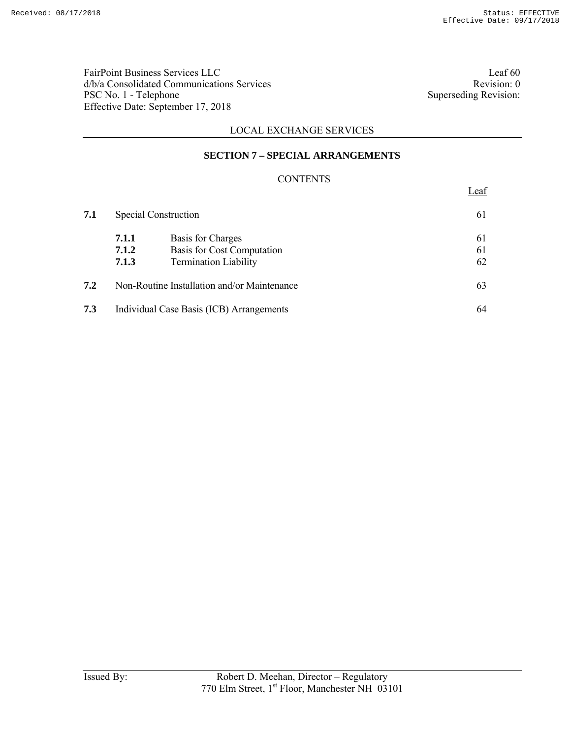FairPoint Business Services LLC<br>  $d/b/a$  Consolidated Communications Services<br>
Revision: 0 d/b/a Consolidated Communications Services<br>
PSC No. 1 - Telephone Superseding Revision: 0<br>
Superseding Revision: PSC No. 1 - Telephone Effective Date: September 17, 2018

Leaf

## LOCAL EXCHANGE SERVICES

### **SECTION 7 – SPECIAL ARRANGEMENTS**

### **CONTENTS**

| 7.1 | <b>Special Construction</b> |                                                                                 | 61             |
|-----|-----------------------------|---------------------------------------------------------------------------------|----------------|
|     | 7.1.1<br>7.1.2<br>7.1.3     | Basis for Charges<br>Basis for Cost Computation<br><b>Termination Liability</b> | 61<br>61<br>62 |
| 7.2 |                             | Non-Routine Installation and/or Maintenance                                     | 63             |
| 7.3 |                             | Individual Case Basis (ICB) Arrangements                                        | 64             |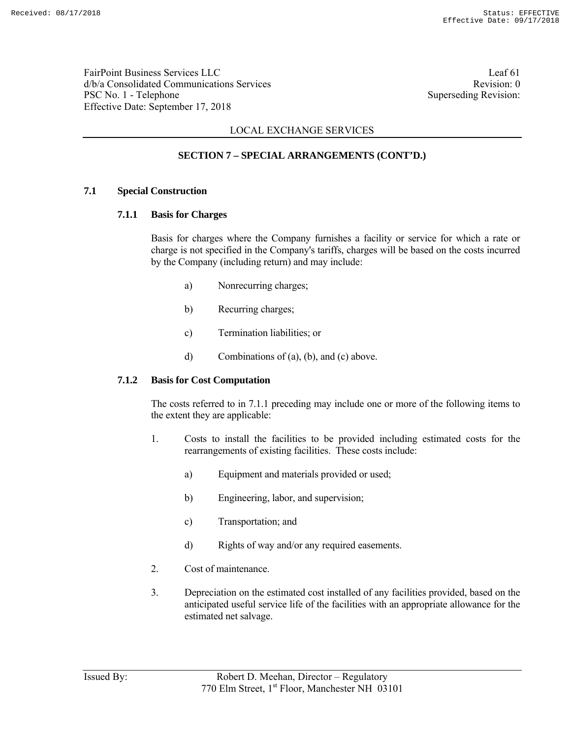FairPoint Business Services LLC Leaf 61 d/b/a Consolidated Communications Services and the consolidated Communications Services PSC No. 1 - Telephone Superseding Revision: Effective Date: September 17, 2018

## LOCAL EXCHANGE SERVICES

# **SECTION 7 – SPECIAL ARRANGEMENTS (CONT'D.)**

### **7.1 Special Construction**

### **7.1.1 Basis for Charges**

 Basis for charges where the Company furnishes a facility or service for which a rate or charge is not specified in the Company's tariffs, charges will be based on the costs incurred by the Company (including return) and may include:

- a) Nonrecurring charges;
- b) Recurring charges;
- c) Termination liabilities; or
- d) Combinations of (a), (b), and (c) above.

#### **7.1.2 Basis for Cost Computation**

 The costs referred to in 7.1.1 preceding may include one or more of the following items to the extent they are applicable:

- 1. Costs to install the facilities to be provided including estimated costs for the rearrangements of existing facilities. These costs include:
	- a) Equipment and materials provided or used;
	- b) Engineering, labor, and supervision;
	- c) Transportation; and
	- d) Rights of way and/or any required easements.
- 2. Cost of maintenance.
- 3. Depreciation on the estimated cost installed of any facilities provided, based on the anticipated useful service life of the facilities with an appropriate allowance for the estimated net salvage.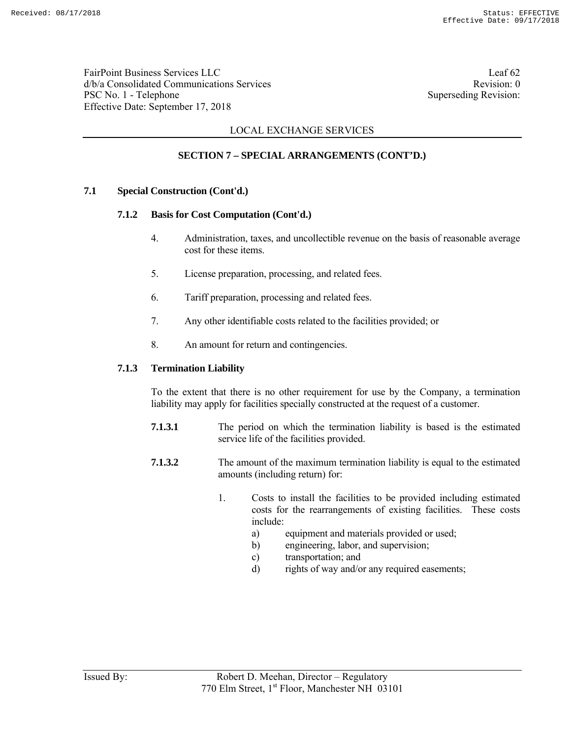FairPoint Business Services LLC Leaf 62 d/b/a Consolidated Communications Services and the consolidated Communications Services PSC No. 1 - Telephone Superseding Revision: Effective Date: September 17, 2018

## LOCAL EXCHANGE SERVICES

# **SECTION 7 – SPECIAL ARRANGEMENTS (CONT'D.)**

### **7.1 Special Construction (Cont'd.)**

### **7.1.2 Basis for Cost Computation (Cont'd.)**

- 4. Administration, taxes, and uncollectible revenue on the basis of reasonable average cost for these items.
- 5. License preparation, processing, and related fees.
- 6. Tariff preparation, processing and related fees.
- 7. Any other identifiable costs related to the facilities provided; or
- 8. An amount for return and contingencies.

#### **7.1.3 Termination Liability**

 To the extent that there is no other requirement for use by the Company, a termination liability may apply for facilities specially constructed at the request of a customer.

- **7.1.3.1** The period on which the termination liability is based is the estimated service life of the facilities provided.
- **7.1.3.2** The amount of the maximum termination liability is equal to the estimated amounts (including return) for:
	- 1. Costs to install the facilities to be provided including estimated costs for the rearrangements of existing facilities. These costs include:
		- a) equipment and materials provided or used;
		- b) engineering, labor, and supervision;
		- c) transportation; and
		- d) rights of way and/or any required easements;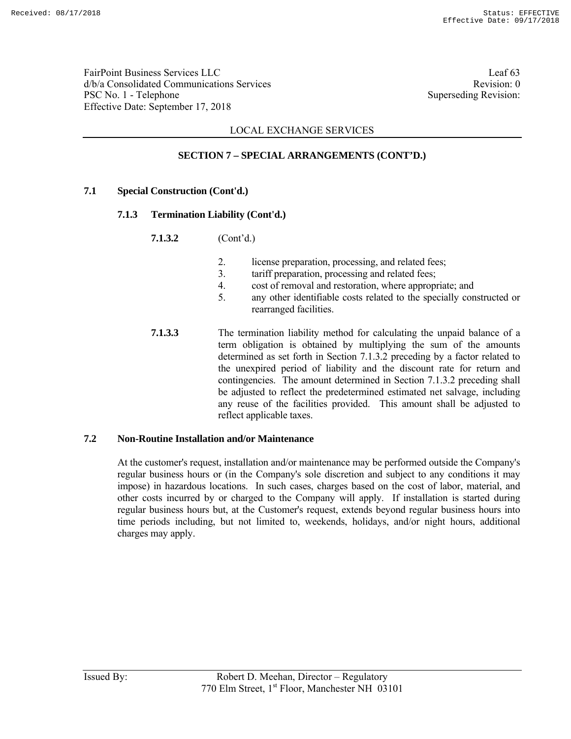FairPoint Business Services LLC Leaf 63 d/b/a Consolidated Communications Services and the services Revision: 0 PSC No. 1 - Telephone Superseding Revision: Effective Date: September 17, 2018

## LOCAL EXCHANGE SERVICES

## **SECTION 7 – SPECIAL ARRANGEMENTS (CONT'D.)**

### **7.1 Special Construction (Cont'd.)**

### **7.1.3 Termination Liability (Cont'd.)**

**7.1.3.2** (Cont'd.)

- 2. license preparation, processing, and related fees;
- 3. tariff preparation, processing and related fees;
- 4. cost of removal and restoration, where appropriate; and
- 5. any other identifiable costs related to the specially constructed or rearranged facilities.
- **7.1.3.3** The termination liability method for calculating the unpaid balance of a term obligation is obtained by multiplying the sum of the amounts determined as set forth in Section 7.1.3.2 preceding by a factor related to the unexpired period of liability and the discount rate for return and contingencies. The amount determined in Section 7.1.3.2 preceding shall be adjusted to reflect the predetermined estimated net salvage, including any reuse of the facilities provided. This amount shall be adjusted to reflect applicable taxes.

### **7.2 Non-Routine Installation and/or Maintenance**

 At the customer's request, installation and/or maintenance may be performed outside the Company's regular business hours or (in the Company's sole discretion and subject to any conditions it may impose) in hazardous locations. In such cases, charges based on the cost of labor, material, and other costs incurred by or charged to the Company will apply. If installation is started during regular business hours but, at the Customer's request, extends beyond regular business hours into time periods including, but not limited to, weekends, holidays, and/or night hours, additional charges may apply.